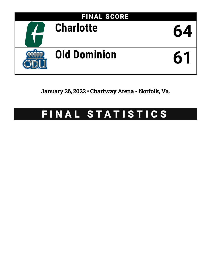

January 26, 2022 • Chartway Arena - Norfolk, Va.

# FINAL STATISTICS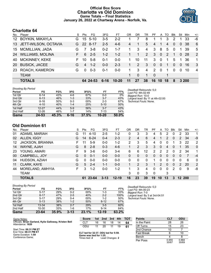# **Official Box Score Charlotte vs Old Dominion Game Totals -- Final Statistics January 26, 2022 at Chartway Arena - Norfolk, Va.**



# **Charlotte 64**

| No.       | Player                  | S  | Pts             | FG         | 3FG      | FT        | OR | DR       | TR             | PF           | A        | TO            | <b>B</b> lk    | Stl            | Min   | $+/-$          |
|-----------|-------------------------|----|-----------------|------------|----------|-----------|----|----------|----------------|--------------|----------|---------------|----------------|----------------|-------|----------------|
| 12        | <b>BOYKIN, MIKAYLA</b>  | G  | 15              | $5 - 10$   | 3-5      | $2 - 2$   |    | 7        | 8              | 1            |          | 3             | 2              |                | 33    | -6             |
|           | 13 JETT-WILSON, OCTAVIA | G. | 22 <sub>1</sub> | -8-17      | $2 - 5$  | $4-6$     | 4  | 1        | 5              | 4            |          | 4             | $\overline{0}$ | $\overline{0}$ | 38    | 6              |
| 15        | <b>MCMILLIAN, JADA</b>  | G  |                 | $3 - 8$    | $0 - 2$  | $1 - 7$   |    | 3        | $\overline{4}$ | 3            | 8        | 5             | $\Omega$       | $\mathbf 1$    | 39    | 5              |
| 24        | <b>WILLIAMS, MOLINA</b> | F. | 6               | $2 - 5$    | $1 - 2$  | $1 - 2$   |    | 1        | 2              | $\mathbf{3}$ | $\Omega$ | $\mathcal{P}$ | 1              | $\Omega$       | -28   | 2              |
| 40        | <b>MCKINNEY, KEKE</b>   | F. | 10              | $5-8$      | $0 - 1$  | $0 - 0$   | 1. | 10       | 11             | 3            | $\Omega$ | -1            | 5              | $\overline{1}$ | 36    | $\mathbf 1$    |
| <b>20</b> | <b>BUSICK, JACEE</b>    | G  | 4               | $1 - 2$    | $0 - 0$  | $2 - 3$   | 1  | 2        | 3              | $\Omega$     | $\Omega$ | 1             | $\Omega$       | $\Omega$       | 16    | 3              |
| <b>23</b> | ROACH, KAMERON          | G  | $\Omega$        | $0 - 3$    | $0 - 1$  | $0 - 0$   | 1  | 3        | 4              | 2            | $\Omega$ | 1             | $\Omega$       | $\Omega$       | 10    | $\overline{4}$ |
|           | <b>TEAM</b>             |    |                 |            |          |           | 1. | $\Omega$ | 1              | - 0          |          | 1             |                |                |       |                |
|           | <b>TOTALS</b>           |    |                 | 64 24 - 53 | $6 - 16$ | $10 - 20$ | 11 | 27       | 38             | 16           | 10       | 18            | 8              |                | 3 200 |                |

| <b>Shooting By Period</b> |  |
|---------------------------|--|
|---------------------------|--|

| Period   | FG        | FG%   | 3FG     | 3FG%  | FT        | FT%   |
|----------|-----------|-------|---------|-------|-----------|-------|
| 1st Qtr  | $6 - 14$  | 43%   | $4-6$   | 67%   | 0-0       | 0%    |
| 2nd Qtr  | $6 - 13$  | 46%   | $1 - 3$ | 33%   | $3 - 7$   | 43%   |
| 3rd Qtr  | $8 - 16$  | 50%   | $0 - 3$ | 00%   | $2 - 3$   | 67%   |
| 4th Qtr  | $4 - 10$  | 40%   | $1 - 4$ | 25%   | $5 - 10$  | 50%   |
| 1st Half | $12 - 27$ | 44%   | $5-9$   | 56%   | $3 - 7$   | 43%   |
| 2nd Half | $12 - 26$ | 46%   | $1 - 7$ | 14%   | 7-13      | 54%   |
| Game     | 24-53     | 45.3% | 6-16    | 37.5% | $10 - 20$ | 50.0% |

*Deadball Rebounds:* 5,0 *Last FG:* 4th-02:49 *Biggest Run:* 10-0 *Largest lead:* By 11 at 4th-02:00 *Technical Fouls:* None.

# **Old Dominion 61**

| No. | Player                  | S | Pts | FG       | 3FG      | FТ        | OR             | DR | TR | РF       | A        | TO | Blk          | Stl | Min    | $+/-$        |
|-----|-------------------------|---|-----|----------|----------|-----------|----------------|----|----|----------|----------|----|--------------|-----|--------|--------------|
| 01  | ADAMS, MARIAH           | G | 11  | $4 - 10$ | $2 - 5$  | $1 - 2$   | 0              | 3  | 3  | 4        | 5        | 2  | 0            | 2   | 33     | 1            |
| 02  | ALLEN, IGGY             | G | 14  | $6 - 24$ | $0 - 4$  | $2 - 3$   | $\overline{2}$ | 4  | 6  | 4        |          | 2  | $\Omega$     | 2   | 34     | $-9$         |
| 12  | <b>JACKSON, BRIANNA</b> | F | 11  | $5-9$    | $0 - 0$  | $1 - 2$   | 2              | 3  | 5  | 4        | 0        | 0  |              | 3   | 22     | $\mathbf{2}$ |
| 14  | WAYNE, AJAH             | G | 8   | $2 - 8$  | $0 - 3$  | $4-6$     | 1              | 2  | 3  | 3        | 0        | 4  | $\mathbf{0}$ |     | 35     | $\mathbf{0}$ |
| 23  | YOUNG, AMARI            | F | 9   | $3-6$    | $0 - 0$  | $3-4$     | 6              | 6  | 12 | 2        | 2        | 2  | 0            | 2   | 34     | 1.           |
| 00  | CAMPBELL, JOY           | G | 0   | $0 - 1$  | $0 - 0$  | $0 - 0$   | 0              | 0  | 0  | 0        | 0        | 0  | 0            | 0   | 7      | $-4$         |
| 04  | HUDSON, AZIAH           | G | 0   | $0 - 0$  | $0 - 0$  | $0 - 0$   | 0              | 0  | 0  |          | 0        | 0  | 0            | 0   | 6      | $\mathbf{0}$ |
| 11  | <b>CLARK, KAYE</b>      | G | 5   | $2 - 4$  | 1-1      | $0 - 0$   |                | 2  | 3  |          | 2        | 0  | 0            | 2   | 20     | 2            |
| 44  | MORELAND, AMHYIA        | F | 3   | $1 - 2$  | $0 - 0$  | $1 - 2$   |                | 3  | 4  | 0        | $\Omega$ | 0  | 2            | 0   | 9      | -8           |
|     | <b>TEAM</b>             |   |     |          |          |           | 3              | 0  | 3  | $\Omega$ |          | 3  |              |     |        |              |
|     | <b>TOTALS</b>           |   | 61  | 23-64    | $3 - 13$ | $12 - 19$ | 16             | 23 | 39 | 19       | 10       | 13 | 3            |     | 12 200 |              |

| Game                                | 23-64    | 35.9% | $3 - 13$ | 23.1% | $12 - 19$ | 63.2% |                 |
|-------------------------------------|----------|-------|----------|-------|-----------|-------|-----------------|
| 2nd Half                            | 10-30    | 33%   | $1-6$    | 17%   | $9 - 14$  | 64%   |                 |
| 1st Half                            | 13-34    | 38%   | $2 - 7$  | 29%   | $3 - 5$   | 60%   |                 |
| 4th Qtr                             | $5 - 13$ | 38%   | $1 - 2$  | 50%   | $8 - 12$  | 67%   |                 |
| 3rd Qtr                             | $5 - 17$ | 29%   | $0 - 4$  | 00%   | $1 - 2$   | 50%   | Techni          |
| 2nd Qtr                             | $8 - 17$ | 47%   | $2 - 5$  | 40%   | $2 - 2$   | 100%  | Larges          |
| 1st Qtr                             | $5 - 17$ | 29%   | $0 - 2$  | 00%   | $1 - 3$   | 33%   | <b>Bigges</b>   |
| <b>Shooting By Period</b><br>Period | FG       | FG%   | 3FG      | 3FG%  | FT        | FT%   | Deadb<br>Last F |

*Deadball Rebounds:* 5,0 *Last FG:* 4th-00:23 *Biggest Run:* 7-0 *Largest lead:* By 3 at 3rd-04:51 *Technical Fouls:* None.

| Game Notes:                                            | <b>Score</b>                                    |    | 1st 2nd         | 3rd | 4th | тот | <b>Points</b>     | <b>CLT</b>     | ODU            |
|--------------------------------------------------------|-------------------------------------------------|----|-----------------|-----|-----|-----|-------------------|----------------|----------------|
| Officials: Brian Garland, Kylie Galloway, Kristen Bell | <b>CLT</b>                                      | 16 | 16              | 18  | 14  | 64  | In the Paint      | 28             | 26             |
| Attendance: 1620                                       | ODU                                             | 11 | 20              | 11  | 19  | 61  | Off Turns         | 15             | 23             |
| Start Time: 06:31 PM ET                                |                                                 |    |                 |     |     |     | 2nd Chance        | 10             |                |
| End Time: 08:31 PM ET<br>Game Duration: 1:59           | CLT led for 32:37. ODU led for 5:59.            |    |                 |     |     |     | <b>Fast Break</b> |                | 10             |
| Conference Game;                                       | Game was tied for 1:25.<br>Times tied: <b>2</b> |    | Lead Changes: 2 |     |     |     | Bench             |                |                |
|                                                        |                                                 |    |                 |     |     |     | Per Poss          | 0.955<br>30/67 | 0.884<br>30/69 |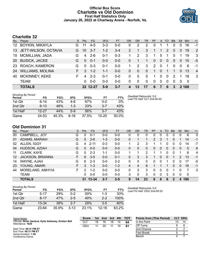# **Official Box Score Charlotte vs Old Dominion First Half Statistics Only January 26, 2022 at Chartway Arena - Norfolk, Va.**



# **Charlotte 32**

| No.       | Player                  | S  | <b>Pts</b> | FG       | 3FG     | <b>FT</b> | <b>OR</b> | <b>DR</b> | TR           | PF.         | $\mathsf{A}$   | TO       | <b>Blk</b>     | Stl          | <b>Min</b>  | $+/-$          |
|-----------|-------------------------|----|------------|----------|---------|-----------|-----------|-----------|--------------|-------------|----------------|----------|----------------|--------------|-------------|----------------|
| 12        | <b>BOYKIN, MIKAYLA</b>  | G  |            | $4-5$    | 3-3     | $0-0$     | 0         | 2         | 2            | 0           |                |          | 0              | 0            | 16          | -1             |
| 13        | JETT-WILSON, OCTAVIA    | G. | 10         | $3 - 7$  | $1 - 2$ | $3 - 4$   | 2         |           | 3            | $\mathbf 1$ |                | 2        | 0              | 0            | 19          | 2              |
| 15        | <b>MCMILLIAN, JADA</b>  | G  | 4          | $2 - 6$  | 0-1     | $0 - 3$   |           | 2         | 3            | 1           | 5              |          | $\Omega$       |              | 19          | -3             |
| <b>20</b> | <b>BUSICK, JACEE</b>    | G  | $\Omega$   | $0 - 1$  | $0 - 0$ | $0 - 0$   | 0         | 1         | 1            | $\Omega$    | $\overline{0}$ | $\Omega$ | $\overline{0}$ | $\mathbf{0}$ | 10          | -5             |
| <b>23</b> | <b>ROACH, KAMERON</b>   | G  | $\Omega$   | $0 - 3$  | $0 - 1$ | $0 - 0$   |           | 2         | 3            | 2           | $\mathbf{0}$   | 1        | $\Omega$       | $\Omega$     | 6           | $-1$           |
| 24        | <b>WILLIAMS, MOLINA</b> | F. | 3          | $1 - 2$  | $1 - 1$ | $0 - 0$   | 0         | $\Omega$  | $\mathbf{0}$ | 1           | $\mathbf{0}$   |          | 1              | $\Omega$     | 13          | $\overline{4}$ |
| 40        | <b>MCKINNEY, KEKE</b>   | F  | 4          | $2 - 3$  | $0 - 1$ | $0 - 0$   | 0         | 5         | 5            |             | $\Omega$       | $\Omega$ | 2              |              | 18          | -3             |
|           | <b>TEAM</b>             |    | 0          | $0 - 0$  | $0 - 0$ | $0 - 0$   | 0         | $\Omega$  | 0            | $\Omega$    | $\Omega$       | $\Omega$ | $\Omega$       | $\Omega$     | -0          |                |
|           | <b>TOTALS</b>           |    |            | 32 12-27 | $5-9$   | $3 - 7$   | 4         | 13        | 17           | 6           | 7              | 6        | 3              |              | <b>2100</b> |                |

| <b>Shooting By Period</b><br>Period | FG        | FG%   | 3FG   | 3FG%  | FT        | FT%   | Deadball Rebounds: 5,0<br>Last FG Half: CLT 2nd-00:45 |
|-------------------------------------|-----------|-------|-------|-------|-----------|-------|-------------------------------------------------------|
| 1st Qtr                             | $6 - 14$  | 43%   | 4-6   | 67%   | 0-0       | $0\%$ |                                                       |
| 2nd Qtr                             | $6 - 13$  | 46%   | 1-3   | 33%   | $3 - 7$   | 43%   |                                                       |
| 1st Half                            | $12 - 27$ | 44%   | $5-9$ | 56%   | $3 - 7$   | 43%   |                                                       |
| Game                                | 24-53     | 45.3% | 6-16  | 37.5% | $10 - 20$ | 50.0% |                                                       |

# **Old Dominion 31**

| No. | Plaver                  | S  | <b>Pts</b> | FG        | 3FG     | <b>FT</b> | <b>OR</b> | <b>DR</b> | TR | PF             | A | TO | <b>Blk</b>     | Stl | Min | $+/-$       |
|-----|-------------------------|----|------------|-----------|---------|-----------|-----------|-----------|----|----------------|---|----|----------------|-----|-----|-------------|
| 00  | CAMPBELL, JOY           | G  | 0          | $0 - 1$   | $0 - 0$ | $0 - 0$   | 0         | 0         | 0  | 0              | 0 | 0  | 0              | 0   | 6   | $\mathbf 0$ |
| 01  | ADAMS, MARIAH           | G  | 5          | $2 - 6$   | $1 - 3$ | $0-0$     | 0         |           |    | $\overline{2}$ | 3 |    | 0              |     | 14  | $-1$        |
| 02  | ALLEN, IGGY             | G  | 4          | $2 - 11$  | $0 - 3$ | $0 - 0$   |           | 2         | 3  |                |   | 0  | 0              | 0   | 14  | $-7$        |
| 04  | HUDSON, AZIAH           | G  | 0          | $0 - 0$   | $0 - 0$ | $0-0$     | 0         | 0         | 0  | 0              | 0 | 0  | $\overline{0}$ | 0   | 5   | -6          |
| 11  | <b>CLARK, KAYE</b>      | G  | 5          | $2 - 3$   | $1 - 1$ | $0 - 0$   |           |           | 2  |                |   | 0  | 0              |     | 8   | 4           |
| 12  | <b>JACKSON, BRIANNA</b> | F. | 6          | $3 - 5$   | $0 - 0$ | $0 - 1$   | 0         | 3         | 3  |                | 0 | 0  |                | 2   | 13  | $-1$        |
| 14  | WAYNE, AJAH             | G  | 6          | $2 - 3$   | $0 - 0$ | $2 - 2$   | 0         | 0         | 0  | 0              | 0 |    | 0              | O   | 17  | -5          |
| 23  | YOUNG, AMARI            | F. | 3          | $1 - 3$   | $0 - 0$ | $1 - 2$   | 4         | 4         | 8  |                |   |    | 0              | 0   | 16  | $-1$        |
| 44  | MORELAND, AMHYIA        | F  | 2          | $1 - 2$   | $0 - 0$ | $0 - 0$   | 0         | 3         | 3  | 0              | 0 | 0  |                | ŋ   | 7   | 0           |
|     | TEAM                    |    | 0          | $0 - 0$   | $0 - 0$ | $0-0$     | 3         | 0         | 3  | 0              | 0 | 3  | 0              | 0   | 0   |             |
|     | <b>TOTALS</b>           |    | 31         | $13 - 34$ | $2 - 7$ | $3 - 5$   | 9         | 14        | 23 | 6              | 6 | 6  | 2              | 4   | 100 |             |

| Shooting By Period<br>Period | FG        | FG%        | 3FG      | 3FG%       | FT        | FT%   |
|------------------------------|-----------|------------|----------|------------|-----------|-------|
| 1st Otr                      | $5-17$    | <b>29%</b> | 0-2      | $00\%$     | 1-3       | 33%   |
| 2nd Otr                      | $8 - 17$  | 47%        | $2 - 5$  | 40%        | $2 - 2$   | 100%  |
| 1st Half                     | $13 - 34$ | 38%        | $2 - 7$  | <b>29%</b> | $3-5$     | 60%   |
| Game                         | 23-64     | 35.9%      | $3 - 13$ | 23.1%      | $12 - 19$ | 63.2% |

*Deadball Rebounds:* 5,0 *Last FG Half:* ODU 2nd-00:22

| Game Notes:                                                                | <b>Score</b> | 1st | 2 <sub>nd</sub> | 3rd | 4th | <b>TOT</b> | <b>Points from (This Period)</b> |    | CLT ODU |
|----------------------------------------------------------------------------|--------------|-----|-----------------|-----|-----|------------|----------------------------------|----|---------|
| Officials: Brian Garland, Kylie Galloway, Kristen Bell<br>Attendance: 1620 | CLT          | 16  | 16              | 18  | 14  | 64         | In the Paint                     | 10 | 14      |
|                                                                            | ODU          | 11  | 20              | 11  | 19  | 61         | Off Turns                        |    |         |
| Start Time: 06:31 PM ET                                                    |              |     |                 |     |     |            | 2nd Chance                       |    |         |
| End Time: 08:31 PM ET<br>Game Duration: 1:59                               |              |     |                 |     |     |            | <b>Fast Break</b>                |    |         |
| Conference Game:                                                           |              |     |                 |     |     |            | Bench                            |    |         |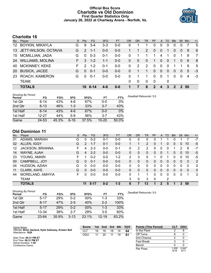# **Official Box Score Charlotte vs Old Dominion First Quarter Statistics Only January 26, 2022 at Chartway Arena - Norfolk, Va.**



# **Charlotte 16**

| No. | Player                  | S. | <b>Pts</b>    | <b>FG</b> | 3FG     | <b>FT</b> | OR | <b>DR</b>   | <b>TR</b>      | <b>PF</b>     | A              | TO       | <b>Blk</b> | Stl      | Min   | $+/-$ |
|-----|-------------------------|----|---------------|-----------|---------|-----------|----|-------------|----------------|---------------|----------------|----------|------------|----------|-------|-------|
| 12  | <b>BOYKIN, MIKAYLA</b>  | G  | 9             | $3 - 4$   | $3 - 3$ | $0 - 0$   | 0  |             |                | 0             | 0              | 0        | 0          |          |       | 5     |
| 13  | JETT-WILSON, OCTAVIA    | G  | 2             | -1-1      | $0 - 0$ | $0 - 0$   |    | 1           | 2              | 0             | 0              |          | 0          | $\Omega$ | 9     | 6     |
| 15  | <b>MCMILLIAN, JADA</b>  | G  | $\Omega$      | $0 - 3$   | $0 - 1$ | $0 - 0$   | 0  | 1           |                | 1             | 4              | 1        | 0          |          | 9     | 7     |
| 24  | <b>WILLIAMS, MOLINA</b> | F. | 3             | $1 - 2$   | $1 - 1$ | $0 - 0$   | 0  | 0           | $\Omega$       | 1             | $\overline{0}$ | $\Omega$ | 1          | $\Omega$ | 6     | -8    |
| 40  | <b>MCKINNEY, KEKE</b>   | F. | $\mathcal{P}$ | $1 - 2$   | $0 - 1$ | $0-0$     | 0  | 2           | $\overline{2}$ | 0             | $\mathbf 0$    | $\Omega$ |            |          | 9     | 5     |
| 20  | <b>BUSICK, JACEE</b>    | G  | $\Omega$      | $0 - 1$   | $0 - 0$ | $0-0$     | 0  |             | 1              | $\Omega$      | $\Omega$       | $\Omega$ | $\Omega$   | $\Omega$ | 5     | -3    |
| 23  | ROACH, KAMERON          | G  | $\Omega$      | $0 - 1$   | $0 - 0$ | $0 - 0$   | 0  | 1           | 1              | $\Omega$      | $\mathbf 0$    | 1        | 0          | $\Omega$ | 4     | -3    |
|     | <b>TEAM</b>             |    |               |           |         |           | 0  | $\mathbf 0$ | $\Omega$       | 0             |                | 0        |            |          |       |       |
|     | <b>TOTALS</b>           |    |               | 16 6-14   |         | $0 - 0$   |    |             | 8              | $\mathcal{P}$ | 4              | 3        | 2          |          | 2, 50 |       |

| <b>Shooting By Period</b><br>Period | FG       | FG%   | 3FG      | 3FG%  | FT        | FT%   | Deadball Rebounds: 5,0 |
|-------------------------------------|----------|-------|----------|-------|-----------|-------|------------------------|
| 1st Qtr                             | 6-14     | 43%   | 4-6      | 67%   | 0-0       | 0%    |                        |
| 2nd Qtr                             | $6 - 13$ | 46%   | $1 - 3$  | 33%   | $3 - 7$   | 43%   |                        |
| 1st Half                            | $6 - 14$ | 43%   | $4-6$    | 67%   | 0-0       | 0%    |                        |
| 1st Half                            | 12-27    | 44%   | $5-9$    | 56%   | $3 - 7$   | 43%   |                        |
| Game                                | 24-53    | 45.3% | $6 - 16$ | 37.5% | $10 - 20$ | 50.0% |                        |

# **Old Dominion 11**

| No. | Player                  | S  | <b>Pts</b> | <b>FG</b> | 3FG     | <b>FT</b> | <b>OR</b> | <b>DR</b> | TR             | <b>PF</b> | A              | TO       | <b>B</b> lk | Stl      | Min      | $+/-$       |
|-----|-------------------------|----|------------|-----------|---------|-----------|-----------|-----------|----------------|-----------|----------------|----------|-------------|----------|----------|-------------|
| 01  | ADAMS, MARIAH           | G  | 0          | $0 - 2$   | $0 - 1$ | $0-0$     | 0         | 0         | 0              | 0         |                |          | 0           |          |          | $-7$        |
| 02  | ALLEN, IGGY             | G  | 2          | $1 - 7$   | $0 - 1$ | $0-0$     |           |           | $\overline{2}$ | 0         |                | 0        | 0           | $\Omega$ | 10       | -5          |
| 12  | <b>JACKSON, BRIANNA</b> | F  | 4          | $2 - 3$   | $0 - 0$ | $0 - 1$   | 0         | 2         | 2              | 0         | 0              | ∩        | 1           | 2        | 9        | $-7$        |
| 14  | WAYNE, AJAH             | G  | 4          | $2 - 2$   | $0 - 0$ | $0 - 0$   | $\Omega$  | 0         | 0              | 0         | $\Omega$       |          | 0           | 0        | 10       | $-5$        |
| 23  | YOUNG, AMARI            | F  |            | $0 - 2$   | $0 - 0$ | $1 - 2$   | 2         | 3         | 5              |           | 0              |          | 0           | 0        | 10       | -5          |
| 00  | CAMPBELL, JOY           | G  | 0          | $0 - 1$   | $0 - 0$ | $0 - 0$   | 0         | 0         | 0              | 0         | 0              | $\Omega$ | 0           | $\Omega$ | 3        | 2           |
| 04  | HUDSON, AZIAH           | G  | $\Omega$   | $0-0$     | $0 - 0$ | $0-0$     | 0         | 0         | $\mathbf{0}$   | 0         | 0              | ∩        | 0           | 0        | $\Omega$ | 0           |
| 11  | CLARK, KAYE             | G  | $\Omega$   | $0 - 0$   | $0 - 0$ | $0 - 0$   | 0         | 0         | 0              | 0         | $\overline{0}$ | $\Omega$ | 0           | $\Omega$ | 0        | $\mathbf 0$ |
| 44  | MORELAND, AMHYIA        | F. | 0          | $0-0$     | $0-0$   | $0-0$     | 0         |           | 1              | 0         | 0              | 0        | 0           | 0        |          | 2           |
|     | <b>TEAM</b>             |    |            |           |         |           | 3         | 0         | 3              | 0         |                | 2        |             |          |          |             |
|     | <b>TOTALS</b>           |    | 11         | $5-17$    | $0 - 2$ | $1 - 3$   | 6         | 7         | 13             |           | 2              | 5        | 1           | 3        | 50       |             |

| <b>Shooting By Period</b> |           |       |          |        |           |       |
|---------------------------|-----------|-------|----------|--------|-----------|-------|
| Period                    | FG        | FG%   | 3FG      | 3FG%   | FT        | FT%   |
| 1st Qtr                   | $5 - 17$  | 29%   | $0 - 2$  | 00%    | 1-3       | 33%   |
| 2nd Qtr                   | $8 - 17$  | 47%   | $2 - 5$  | 40%    | $2 - 2$   | 100%  |
| 1st Half                  | $5 - 17$  | 29%   | $0 - 2$  | $00\%$ | $1 - 3$   | 33%   |
| 1st Half                  | $13 - 34$ | 38%   | $2 - 7$  | 29%    | $3-5$     | 60%   |
| Game                      | 23-64     | 35.9% | $3 - 13$ | 23.1%  | $12 - 19$ | 63.2% |

*Deadball Rebounds:* 5,0

| Game Notes:                                                                | <b>Score</b> | 1st | 2nd | 3rd | 4th | тот | <b>Points (This Period)</b> | CLT          | ODU           |
|----------------------------------------------------------------------------|--------------|-----|-----|-----|-----|-----|-----------------------------|--------------|---------------|
| Officials: Brian Garland, Kylie Galloway, Kristen Bell<br>Attendance: 1620 | CLT          | 16  | 16  | 18  | 14  | 64  | In the Paint                |              |               |
|                                                                            | ODU          |     | 20  |     | 19  | 61  | Off Turns                   |              |               |
| Start Time: 06:31 PM ET                                                    |              |     |     |     |     |     | 2nd Chance                  |              |               |
| End Time: 08:31 PM ET<br>Game Duration: 1:59                               |              |     |     |     |     |     | <b>Fast Break</b>           |              |               |
| Conference Game;                                                           |              |     |     |     |     |     | Bench                       |              |               |
|                                                                            |              |     |     |     |     |     | Per Poss                    | .000<br>6/16 | 0.647<br>6/17 |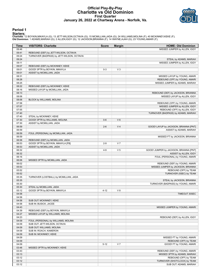# **Official Play-By-Play Charlotte vs Old Dominion First Quarter January 26, 2022 at Chartway Arena - Norfolk, Va.**



#### **Period 1**

<mark>Starters:</mark><br>Charlotte: 12 BOYKIN,MIKAYLA (G); 13 JETT-WILSON,OCTAVIA (G); 15 MCMILLIAN,JADA (G); 24 WILLIAMS,MOLINA (F); 40 MCKINNEY,KEKE (F);<br>**Old Dominion**: 1 ADAMS,MARIAH (G); 2 ALLEN,IGGY (G); 12 JACKSON,BRIANNA (F); 1

| Time           | <b>VISITORS: Charlotte</b>                 | <b>Score</b> | <b>Margin</b>  | <b>HOME: Old Dominion</b>                                       |
|----------------|--------------------------------------------|--------------|----------------|-----------------------------------------------------------------|
| 09:46          |                                            |              |                | MISSED JUMPER by ALLEN, IGGY                                    |
| 09:41          | REBOUND (DEF) by JETT-WILSON, OCTAVIA      |              |                |                                                                 |
| 09:24          | TURNOVER (BADPASS) by JETT-WILSON, OCTAVIA |              |                |                                                                 |
| 09:24          |                                            |              |                | STEAL by ADAMS, MARIAH                                          |
| 09:11          |                                            |              |                | MISSED JUMPER by ALLEN, IGGY                                    |
| 09:07          | REBOUND (DEF) by MCKINNEY, KEKE            |              |                |                                                                 |
| 09:01          | GOOD! 3PTR by BOYKIN, MIKAYLA              | $0 - 3$      | $V_3$          |                                                                 |
| 09:01          | ASSIST by MCMILLIAN, JADA                  |              |                |                                                                 |
| 08:31<br>08:28 |                                            |              |                | MISSED LAYUP by YOUNG, AMARI                                    |
| 08:25          |                                            |              |                | REBOUND (OFF) by YOUNG, AMARI<br>MISSED JUMPER by ADAMS, MARIAH |
| 08:22          | REBOUND (DEF) by MCKINNEY, KEKE            |              |                |                                                                 |
| 08:16          | MISSED LAYUP by MCMILLIAN, JADA            |              |                |                                                                 |
| 08:13          |                                            |              |                | REBOUND (DEF) by JACKSON, BRIANNA                               |
| 08:06          |                                            |              |                | MISSED LAYUP by ALLEN, IGGY                                     |
| 08:06          | BLOCK by WILLIAMS, MOLINA                  |              |                |                                                                 |
| 07:58          |                                            |              |                | REBOUND (OFF) by YOUNG, AMARI                                   |
| 07:57          |                                            |              |                | MISSED JUMPER by ALLEN, IGGY                                    |
| 07:55          |                                            |              |                | REBOUND (OFF) by ALLEN, IGGY                                    |
| 07:40          |                                            |              |                | TURNOVER (BADPASS) by ADAMS, MARIAH                             |
| 07:40          | STEAL by MCKINNEY, KEKE                    |              |                |                                                                 |
| 07:30          | GOOD! 3PTR by WILLIAMS, MOLINA             | $0-6$        | $V_6$          |                                                                 |
| 07:30          | ASSIST by MCMILLIAN, JADA                  |              |                |                                                                 |
| 06:59          |                                            | $2 - 6$      | V <sub>4</sub> | GOOD! LAYUP by JACKSON, BRIANNA [PNT]                           |
| 06:59<br>06:59 |                                            |              |                | ASSIST by ADAMS, MARIAH                                         |
| 06:59          | FOUL (PERSONAL) by MCMILLIAN, JADA         |              |                | MISSED FT by JACKSON, BRIANNA                                   |
| 06:58          | REBOUND (DEF) by MCMILLIAN, JADA           |              |                |                                                                 |
| 06:53          | GOOD! 3PTR by BOYKIN, MIKAYLA [FB]         | $2 - 9$      | V <sub>7</sub> |                                                                 |
| 06:53          | ASSIST by MCMILLIAN, JADA                  |              |                |                                                                 |
| 06:32          |                                            | $4 - 9$      | V <sub>5</sub> | GOOD! JUMPER by JACKSON, BRIANNA [PNT]                          |
| 06:32          |                                            |              |                | ASSIST by ALLEN, IGGY                                           |
| 06:16          |                                            |              |                | FOUL (PERSONAL) by YOUNG, AMARI                                 |
| 06:06          | MISSED 3PTR by MCMILLIAN, JADA             |              |                |                                                                 |
| 06:02          |                                            |              |                | REBOUND (DEF) by YOUNG, AMARI                                   |
| 05:53          |                                            |              |                | MISSED JUMPER by JACKSON, BRIANNA                               |
| 05:52          |                                            |              |                | REBOUND (OFF) by TEAM                                           |
| 05:52          |                                            |              |                | TURNOVER (5SEC) by TEAM                                         |
| 05:35          | TURNOVER (LOSTBALL) by MCMILLIAN, JADA     |              |                |                                                                 |
| 05:35          |                                            |              |                | STEAL by JACKSON, BRIANNA                                       |
| 05:30<br>05:30 | STEAL by MCMILLIAN, JADA                   |              |                | TURNOVER (BADPASS) by YOUNG, AMARI                              |
| 05:12          | GOOD! 3PTR by BOYKIN, MIKAYLA              | $4 - 12$     | V8             |                                                                 |
| 04:58          |                                            |              |                | TIMEOUT 30SEC                                                   |
| 04:58          |                                            |              |                |                                                                 |
| 04:58          | SUB OUT: MCKINNEY, KEKE                    |              |                |                                                                 |
| 04:58          | SUB IN: BUSICK, JACEE                      |              |                |                                                                 |
| 04:43          |                                            |              |                | MISSED JUMPER by YOUNG, AMARI                                   |
| 04:39          | REBOUND (DEF) by BOYKIN, MIKAYLA           |              |                |                                                                 |
| 04:27          | MISSED LAYUP by WILLIAMS, MOLINA           |              |                |                                                                 |
| 04:23          |                                            |              |                | REBOUND (DEF) by ALLEN, IGGY                                    |
| 04:09          | FOUL (PERSONAL) by WILLIAMS, MOLINA        |              |                |                                                                 |
| 04:09          | SUB OUT: JETT-WILSON, OCTAVIA              |              |                |                                                                 |
| 04:09          | SUB OUT: WILLIAMS, MOLINA                  |              |                |                                                                 |
| 04:09          | SUB IN: ROACH, KAMERON                     |              |                |                                                                 |
| 04:09          | SUB IN: MCKINNEY, KEKE                     |              |                | MISSED FT by YOUNG, AMARI                                       |
| 04:09<br>04:09 |                                            |              |                | REBOUND (OFF) by TEAM                                           |
| 04:09          |                                            | $5 - 12$     | V <sub>7</sub> | GOOD! FT by YOUNG, AMARI                                        |
| 03:48          | MISSED 3PTR by MCKINNEY, KEKE              |              |                |                                                                 |
| 03:43          |                                            |              |                | REBOUND (DEF) by YOUNG, AMARI                                   |
| 03:13          |                                            |              |                | MISSED 3PTR by ADAMS, MARIAH                                    |
| 03:12          |                                            |              |                | REBOUND (OFF) by TEAM                                           |
| 03:12          |                                            |              |                | TURNOVER (SHOTCLOCK) by TEAM                                    |
| 03:12          |                                            |              |                | SUB OUT: ADAMS, MARIAH                                          |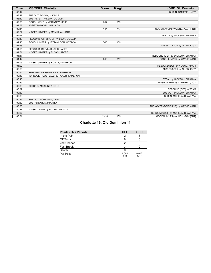| <b>Time</b> | <b>VISITORS: Charlotte</b>            | <b>Score</b> | <b>Margin</b>  | <b>HOME: Old Dominion</b>           |
|-------------|---------------------------------------|--------------|----------------|-------------------------------------|
| 03:12       |                                       |              |                | SUB IN: CAMPBELL, JOY               |
| 03:12       | SUB OUT: BOYKIN, MIKAYLA              |              |                |                                     |
| 03:12       | SUB IN: JETT-WILSON, OCTAVIA          |              |                |                                     |
| 02:58       | GOOD! LAYUP by MCKINNEY, KEKE         | $5 - 14$     | V <sub>9</sub> |                                     |
| 02:58       | ASSIST by MCMILLIAN, JADA             |              |                |                                     |
| 02:44       |                                       | $7 - 14$     | V <sub>7</sub> | GOOD! LAYUP by WAYNE, AJAH [PNT]    |
| 02:27       | MISSED JUMPER by MCMILLIAN, JADA      |              |                |                                     |
| 02:27       |                                       |              |                | BLOCK by JACKSON, BRIANNA           |
| 02:19       | REBOUND (OFF) by JETT-WILSON, OCTAVIA |              |                |                                     |
| 02:16       | GOOD! JUMPER by JETT-WILSON, OCTAVIA  | $7 - 16$     | V <sub>9</sub> |                                     |
| 01:58       |                                       |              |                | MISSED LAYUP by ALLEN, IGGY         |
| 01:55       | REBOUND (DEF) by BUSICK, JACEE        |              |                |                                     |
| 01:51       | MISSED JUMPER by BUSICK, JACEE        |              |                |                                     |
| 01:47       |                                       |              |                | REBOUND (DEF) by JACKSON, BRIANNA   |
| 01:42       |                                       | $9 - 16$     | V <sub>7</sub> | GOOD! JUMPER by WAYNE, AJAH         |
| 01:06       | MISSED JUMPER by ROACH, KAMERON       |              |                |                                     |
| 01:02       |                                       |              |                | REBOUND (DEF) by YOUNG, AMARI       |
| 00:56       |                                       |              |                | MISSED 3PTR by ALLEN, IGGY          |
| 00:52       | REBOUND (DEF) by ROACH, KAMERON       |              |                |                                     |
| 00:43       | TURNOVER (LOSTBALL) by ROACH, KAMERON |              |                |                                     |
| 00:43       |                                       |              |                | STEAL by JACKSON, BRIANNA           |
| 00:39       |                                       |              |                | MISSED LAYUP by CAMPBELL, JOY       |
| 00:39       | BLOCK by MCKINNEY, KEKE               |              |                |                                     |
| 00:39       |                                       |              |                | REBOUND (OFF) by TEAM               |
| 00:39       |                                       |              |                | SUB OUT: JACKSON, BRIANNA           |
| 00:39       |                                       |              |                | SUB IN: MORELAND, AMHYIA            |
| 00:39       | SUB OUT: MCMILLIAN, JADA              |              |                |                                     |
| 00:39       | SUB IN: BOYKIN, MIKAYLA               |              |                |                                     |
| 00:36       |                                       |              |                | TURNOVER (DRIBBLING) by WAYNE, AJAH |
| 00:11       | MISSED LAYUP by BOYKIN, MIKAYLA       |              |                |                                     |
| 00:07       |                                       |              |                | REBOUND (DEF) by MORELAND, AMHYIA   |
| 00:01       |                                       | $11 - 16$    | V <sub>5</sub> | GOOD! LAYUP by ALLEN, IGGY [PNT]    |

|  | <b>Charlotte 16, Old Dominion 11</b> |  |
|--|--------------------------------------|--|
|  |                                      |  |

| <b>Points (This Period)</b> | <b>CLT</b>    | <b>ODU</b>    |
|-----------------------------|---------------|---------------|
| In the Paint                | 2             |               |
| Off Turns                   |               |               |
| 2nd Chance                  | כי            |               |
| <b>Fast Break</b>           |               |               |
| Bench                       |               |               |
| Per Poss                    | 1.000<br>6/16 | 0.647<br>6/17 |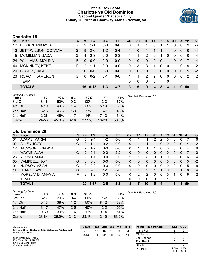# **Official Box Score Charlotte vs Old Dominion Second Quarter Statistics Only January 26, 2022 at Chartway Arena - Norfolk, Va.**



# **Charlotte 16**

| No.       | Player                  | S. | <b>Pts</b> | <b>FG</b> | 3FG     | <b>FT</b> | 0R | <b>DR</b>    | TR                    | <b>PF</b>     | A              | TO       | <b>Blk</b> | Stl      | Min | $+/-$ |
|-----------|-------------------------|----|------------|-----------|---------|-----------|----|--------------|-----------------------|---------------|----------------|----------|------------|----------|-----|-------|
| 12        | <b>BOYKIN, MIKAYLA</b>  | G  | 2          | 1-1       | $0 - 0$ | $0 - 0$   | 0  |              |                       | $\Omega$      |                |          | 0          |          | 9   | -6    |
| 13        | JETT-WILSON, OCTAVIA    | G  | 8          | $2 - 6$   | $1 - 2$ | $3 - 4$   |    | $\Omega$     | 1                     |               |                | 1        | 0          | $\Omega$ | 10  | $-4$  |
| 15        | <b>MCMILLIAN, JADA</b>  | G  | 4          | $2 - 3$   | $0 - 0$ | $0 - 3$   |    | 1            | $\mathbf{2}^{\prime}$ | $\Omega$      | 1.             | 0        | 0          | 0        | 10  | $-4$  |
| 24        | <b>WILLIAMS, MOLINA</b> | F. | $\Omega$   | $0 - 0$   | $0 - 0$ | $0 - 0$   | 0  | $\mathbf{0}$ | $\mathbf{0}$          | $\mathbf{0}$  | $\overline{0}$ | 1        | $\Omega$   | $\Omega$ | 7   | $-4$  |
| 40        | <b>MCKINNEY, KEKE</b>   | F. | 2          | $1 - 1$   | $0 - 0$ | $0 - 0$   | 0  | 3            | 3                     |               | $\Omega$       | 0        |            | $\Omega$ | 9   | $-2$  |
| <b>20</b> | <b>BUSICK, JACEE</b>    | G  | $\Omega$   | $0 - 0$   | $0 - 0$ | $0 - 0$   | 0  | $\Omega$     | $\Omega$              | $\Omega$      | $\mathbf{0}$   | $\Omega$ | $\Omega$   | $\Omega$ | 5   | $-2$  |
| 23        | ROACH, KAMERON          | G  | $\Omega$   | $0 - 2$   | $0 - 1$ | 0-0       |    |              | 2                     | $\mathcal{P}$ | $\mathbf 0$    | $\Omega$ | 0          | $\Omega$ | 2   | - 2   |
|           | <b>TEAM</b>             |    |            |           |         |           | 0  | $\mathbf 0$  | $\mathbf{0}$          | $\Omega$      |                | 0        |            |          |     |       |
|           | <b>TOTALS</b>           |    |            | 16 6-13   | $1 - 3$ | $3 - 7$   | 3  | 6            | 9                     | 4             | 3              | 3        | 1          | $\bf{0}$ | 50  |       |

| <b>Shooting By Period</b><br>Period | FG        | FG%   | 3FG      | 3FG%   | FT        | FT%   | Deadball Rebounds: 5,0 |
|-------------------------------------|-----------|-------|----------|--------|-----------|-------|------------------------|
| 3rd Qtr                             | $8 - 16$  | 50%   | 0-3      | $00\%$ | $2 - 3$   | 67%   |                        |
| 4th Qtr                             | $4 - 10$  | 40%   | $1 - 4$  | 25%    | $5 - 10$  | 50%   |                        |
| 2nd Half                            | $6 - 13$  | 46%   | $1 - 3$  | 33%    | $3 - 7$   | 43%   |                        |
| 2nd Half                            | $12 - 26$ | 46%   | 1-7      | 14%    | 7-13      | 54%   |                        |
| Game                                | 24-53     | 45.3% | $6 - 16$ | 37.5%  | $10 - 20$ | 50.0% |                        |

# **Old Dominion 20**

| No. | Plaver                  | S  | <b>Pts</b>    | FG.     | 3FG     | <b>FT</b> | <b>OR</b> | DR | TR           | PF | $\mathsf{A}$   | TO       | <b>Blk</b> | Stl          | Min | $+/-$          |
|-----|-------------------------|----|---------------|---------|---------|-----------|-----------|----|--------------|----|----------------|----------|------------|--------------|-----|----------------|
| 01  | ADAMS, MARIAH           | G  | 5             | $2 - 4$ | $1 - 2$ | $0-0$     | 0         |    |              | っ  | 2              | 0        | 0          | 0            |     | 6              |
| 02  | ALLEN, IGGY             | G  | 2             | $1 - 4$ | $0 - 2$ | $0 - 0$   | 0         |    |              |    | 0              | $\Omega$ | 0          | $\Omega$     | 4   | $-2$           |
| 12  | <b>JACKSON, BRIANNA</b> | F. | 2             | $1 - 2$ | $0 - 0$ | $0-0$     | 0         |    |              |    | 0              | ∩        | 0          | 0            | 4   | 6              |
| 14  | WAYNE, AJAH             | G  | $\mathcal{P}$ | $0 - 1$ | $0 - 0$ | $2 - 2$   | 0         | 0  | 0            | 0  | $\overline{0}$ | $\Omega$ | 0          | $\mathbf{0}$ |     | $\mathbf{0}$   |
| 23  | YOUNG, AMARI            | F  | 2             | 1-1     | $0 - 0$ | $0 - 0$   | 2         |    | 3            | 0  |                |          | 0          | 0            | 6   | 4              |
| 00  | CAMPBELL, JOY           | G  | $\Omega$      | $0 - 0$ | $0 - 0$ | $0-0$     | 0         | 0  | 0            | 0  | $\overline{0}$ | $\Omega$ | 0          | $\mathbf{0}$ | 3   | $-2$           |
| 04  | HUDSON, AZIAH           | G  | 0             | $0 - 0$ | $0 - 0$ | $0-0$     | 0         | 0  | $\mathbf{0}$ | 0  | 0              | $\Omega$ | 0          | 0            | 5   | -6             |
| 11  | CLARK, KAYE             | G  | 5             | $2 - 3$ | $1 - 1$ | $0 - 0$   |           |    | 2            |    |                | $\Omega$ | 0          |              | 8   | $\overline{4}$ |
| 44  | MORELAND, AMHYIA        | F. | 2             | $1 - 2$ | $0 - 0$ | $0-0$     | 0         | 2  | 2            | 0  | 0              | $\Omega$ |            | $\Omega$     | 6   | $-2$           |
|     | <b>TEAM</b>             |    |               |         |         |           | 0         | 0  | 0            | 0  |                |          |            |              |     |                |
|     | <b>TOTALS</b>           |    | 20            | 8-17    | $2 - 5$ | $2 - 2$   | 3         |    | 10           | 5  | 4              |          |            |              | 50  |                |

| <b>Shooting By Period</b><br>Period | FG        | FG%   | 3FG      | 3FG%   | FT        | FT%   |
|-------------------------------------|-----------|-------|----------|--------|-----------|-------|
| 3rd Otr                             | $5 - 17$  | 29%   | $0 - 4$  | $00\%$ | $1-2$     | 50%   |
| 4th Qtr                             | $5 - 13$  | 38%   | $1 - 2$  | 50%    | $8 - 12$  | 67%   |
| 2nd Half                            | $8 - 17$  | 47%   | $2-5$    | 40%    | $2 - 2$   | 100%  |
| 2nd Half                            | $10 - 30$ | 33%   | 1-6      | 17%    | $9 - 14$  | 64%   |
| Game                                | $23 - 64$ | 35.9% | $3 - 13$ | 23.1%  | $12 - 19$ | 63.2% |

*Deadball Rebounds:* 5,0

| Game Notes:                                                                | <b>Score</b> | 1st | 2nd | 3rd | 4th | <b>TOT</b> | <b>Points (This Period)</b> | CLT           | <b>ODU</b>    |
|----------------------------------------------------------------------------|--------------|-----|-----|-----|-----|------------|-----------------------------|---------------|---------------|
| Officials: Brian Garland, Kylie Galloway, Kristen Bell<br>Attendance: 1620 | CLT          | 16  | 16  | 18  | 14  | 64         | In the Paint                |               |               |
|                                                                            | ODU          | 11  | 20  |     | 19  | -61        | Off Turns                   |               |               |
| Start Time: 06:31 PM ET                                                    |              |     |     |     |     |            | 2nd Chance                  |               |               |
| End Time: 08:31 PM ET<br>Game Duration: 1:59                               |              |     |     |     |     |            | <b>Fast Break</b>           |               |               |
| Conference Game:                                                           |              |     |     |     |     |            | Bench                       |               |               |
|                                                                            |              |     |     |     |     |            | Per Poss                    | 1.000<br>8/16 | 1.250<br>9/16 |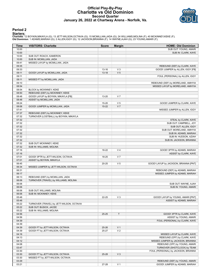# **Official Play-By-Play Charlotte vs Old Dominion Second Quarter January 26, 2022 at Chartway Arena - Norfolk, Va.**



### **Period 2**

<mark>Starters:</mark><br>Charlotte: 12 BOYKIN,MIKAYLA (G); 13 JETT-WILSON,OCTAVIA (G); 15 MCMILLIAN,JADA (G); 24 WILLIAMS,MOLINA (F); 40 MCKINNEY,KEKE (F);<br>**Old Dominion**: 1 ADAMS,MARIAH (G); 2 ALLEN,IGGY (G); 12 JACKSON,BRIANNA (F); 1

| Time  | <b>VISITORS: Charlotte</b>                | <b>Score</b> | <b>Margin</b>  | <b>HOME: Old Dominion</b>             |
|-------|-------------------------------------------|--------------|----------------|---------------------------------------|
| 10:00 |                                           |              |                | SUB OUT: YOUNG, AMARI                 |
| 10:00 |                                           |              |                | SUB IN: CLARK, KAYE                   |
| 10:00 | SUB OUT: ROACH, KAMERON                   |              |                |                                       |
| 10:00 | SUB IN: MCMILLIAN, JADA                   |              |                |                                       |
| 09:41 | MISSED LAYUP by MCMILLIAN, JADA           |              |                |                                       |
| 09:35 |                                           |              |                | REBOUND (DEF) by CLARK, KAYE          |
| 09:33 |                                           | 13-16        | $V_3$          | GOOD! JUMPER by ALLEN, IGGY [FB]      |
| 09:11 | GOOD! LAYUP by MCMILLIAN, JADA            | $13 - 18$    | V <sub>5</sub> |                                       |
| 09:11 |                                           |              |                | FOUL (PERSONAL) by ALLEN, IGGY        |
| 09:11 | MISSED FT by MCMILLIAN, JADA              |              |                |                                       |
| 09:10 |                                           |              |                | REBOUND (DEF) by MORELAND, AMHYIA     |
| 08:54 |                                           |              |                | MISSED LAYUP by MORELAND, AMHYIA      |
| 08:54 | BLOCK by MCKINNEY, KEKE                   |              |                |                                       |
| 08:50 | REBOUND (DEF) by MCKINNEY, KEKE           |              |                |                                       |
| 08:48 | GOOD! LAYUP by BOYKIN, MIKAYLA [FB]       | 13-20        | V <sub>7</sub> |                                       |
| 08:48 | ASSIST by MCMILLIAN, JADA                 |              |                |                                       |
| 08:24 |                                           | 15-20        | V <sub>5</sub> | GOOD! JUMPER by CLARK, KAYE           |
| 08:06 | GOOD! JUMPER by MCMILLIAN, JADA           | $15 - 22$    | V <sub>7</sub> |                                       |
| 07:41 |                                           |              |                | MISSED JUMPER by ALLEN, IGGY          |
| 07:37 | REBOUND (DEF) by MCKINNEY, KEKE           |              |                |                                       |
| 07:32 | TURNOVER (LOSTBALL) by BOYKIN, MIKAYLA    |              |                |                                       |
| 07:32 |                                           |              |                | STEAL by CLARK, KAYE                  |
| 07:32 |                                           |              |                | SUB OUT: CAMPBELL, JOY                |
| 07:32 |                                           |              |                | SUB OUT: ALLEN, IGGY                  |
| 07:32 |                                           |              |                | SUB OUT: MORELAND, AMHYIA             |
| 07:32 |                                           |              |                | SUB IN: ADAMS, MARIAH                 |
| 07:32 |                                           |              |                | SUB IN: HUDSON, AZIAH                 |
| 07:32 |                                           |              |                | SUB IN: JACKSON, BRIANNA              |
| 07:32 | SUB OUT: MCKINNEY, KEKE                   |              |                |                                       |
| 07:32 | SUB IN: WILLIAMS, MOLINA                  |              |                |                                       |
| 07:16 |                                           | 18-22        | V <sub>4</sub> | GOOD! 3PTR by ADAMS, MARIAH           |
| 07:16 |                                           |              |                | ASSIST by CLARK, KAYE                 |
| 07:01 | GOOD! 3PTR by JETT-WILSON, OCTAVIA        | 18-25        | V <sub>7</sub> |                                       |
| 07:01 | ASSIST by BOYKIN, MIKAYLA                 |              |                |                                       |
| 06:45 |                                           | $20 - 25$    | V <sub>5</sub> | GOOD! LAYUP by JACKSON, BRIANNA [PNT] |
| 06:34 | MISSED JUMPER by JETT-WILSON, OCTAVIA     |              |                |                                       |
| 06:31 |                                           |              |                | REBOUND (DEF) by ADAMS, MARIAH        |
| 06:17 |                                           |              |                | MISSED JUMPER by ADAMS, MARIAH        |
| 06:13 | REBOUND (DEF) by MCMILLIAN, JADA          |              |                |                                       |
| 06:06 | TURNOVER (TRAVEL) by WILLIAMS, MOLINA     |              |                |                                       |
| 06:06 |                                           |              |                | SUB OUT: WAYNE, AJAH                  |
| 06:06 |                                           |              |                | SUB IN: YOUNG, AMARI                  |
| 06:06 | SUB OUT: WILLIAMS, MOLINA                 |              |                |                                       |
| 06:06 | SUB IN: MCKINNEY, KEKE                    |              |                |                                       |
| 05:48 |                                           | 22-25        | $V_3$          | GOOD! LAYUP by YOUNG, AMARI [PNT]     |
| 05:48 |                                           |              |                | ASSIST by ADAMS, MARIAH               |
| 05:22 | TURNOVER (TRAVEL) by JETT-WILSON, OCTAVIA |              |                |                                       |
| 05:22 | SUB OUT: BUSICK, JACEE                    |              |                |                                       |
| 05:22 | SUB IN: WILLIAMS, MOLINA                  |              |                |                                       |
| 04:56 |                                           | $25 - 25$    | T              | GOOD! 3PTR by CLARK, KAYE             |
| 04:56 |                                           |              |                | ASSIST by YOUNG, AMARI                |
| 04:39 |                                           |              |                | FOUL (PERSONAL) by CLARK, KAYE        |
| 04:39 |                                           |              |                |                                       |
| 04:39 | GOOD! FT by JETT-WILSON, OCTAVIA          | $25 - 26$    | V <sub>1</sub> |                                       |
| 04:39 | GOOD! FT by JETT-WILSON, OCTAVIA          | 25-27        | V <sub>2</sub> |                                       |
| 04:16 |                                           |              |                | MISSED LAYUP by CLARK, KAYE           |
| 04:13 |                                           |              |                | REBOUND (OFF) by CLARK, KAYE          |
| 04:12 |                                           |              |                | MISSED JUMPER by JACKSON, BRIANNA     |
| 04:08 |                                           |              |                | REBOUND (OFF) by YOUNG, AMARI         |
|       |                                           |              |                |                                       |
| 03:47 |                                           |              |                | TURNOVER (SHOTCLOCK) by TEAM          |
| 03:30 |                                           |              |                | FOUL (PERSONAL) by JACKSON, BRIANNA   |
| 03:30 | GOOD! FT by JETT-WILSON, OCTAVIA          | 25-28        | $V_3$          |                                       |
| 03:30 | MISSED FT by JETT-WILSON, OCTAVIA         |              |                |                                       |
| 03:29 |                                           |              |                | REBOUND (DEF) by YOUNG, AMARI         |
| 03:21 |                                           | 27-28        | V <sub>1</sub> | GOOD! JUMPER by ADAMS, MARIAH         |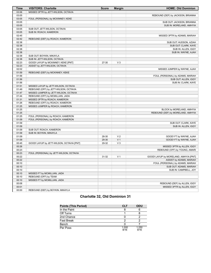| Time  | <b>VISITORS: Charlotte</b>                | <b>Score</b> | <b>Margin</b>  | <b>HOME: Old Dominion</b>             |
|-------|-------------------------------------------|--------------|----------------|---------------------------------------|
| 03:06 | MISSED 3PTR by JETT-WILSON, OCTAVIA       |              |                |                                       |
| 03:05 |                                           |              |                | REBOUND (DEF) by JACKSON, BRIANNA     |
| 03:05 | FOUL (PERSONAL) by MCKINNEY, KEKE         |              |                |                                       |
| 03:05 |                                           |              |                | SUB OUT: JACKSON, BRIANNA             |
| 03:05 |                                           |              |                | SUB IN: MORELAND, AMHYIA              |
| 03:05 | SUB OUT: JETT-WILSON, OCTAVIA             |              |                |                                       |
| 03:05 | SUB IN: ROACH, KAMERON                    |              |                |                                       |
| 02:45 |                                           |              |                | MISSED 3PTR by ADAMS, MARIAH          |
| 02:42 | REBOUND (DEF) by ROACH, KAMERON           |              |                |                                       |
| 02:38 |                                           |              |                | SUB OUT: HUDSON, AZIAH                |
| 02:38 |                                           |              |                | SUB OUT: CLARK, KAYE                  |
| 02:38 |                                           |              |                | SUB IN: ALLEN, IGGY                   |
| 02:38 |                                           |              |                | SUB IN: WAYNE, AJAH                   |
| 02:38 | SUB OUT: BOYKIN, MIKAYLA                  |              |                |                                       |
| 02:38 | SUB IN: JETT-WILSON, OCTAVIA              |              |                |                                       |
| 02:23 | GOOD! LAYUP by MCKINNEY, KEKE [PNT]       | 27-30        | $V_3$          |                                       |
| 02:23 | ASSIST by JETT-WILSON, OCTAVIA            |              |                |                                       |
| 02:02 |                                           |              |                | MISSED JUMPER by WAYNE, AJAH          |
| 01:59 | REBOUND (DEF) by MCKINNEY, KEKE           |              |                |                                       |
| 01:56 |                                           |              |                | FOUL (PERSONAL) by ADAMS, MARIAH      |
| 01:56 |                                           |              |                | SUB OUT: ALLEN, IGGY                  |
| 01:56 |                                           |              |                | SUB IN: CLARK, KAYE                   |
| 01:51 | MISSED LAYUP by JETT-WILSON, OCTAVIA      |              |                |                                       |
| 01:49 | REBOUND (OFF) by JETT-WILSON, OCTAVIA     |              |                |                                       |
| 01:47 | MISSED JUMPER by JETT-WILSON, OCTAVIA     |              |                |                                       |
| 01:44 | REBOUND (OFF) by MCMILLIAN, JADA          |              |                |                                       |
| 01:31 | MISSED 3PTR by ROACH, KAMERON             |              |                |                                       |
| 01:26 | REBOUND (OFF) by ROACH, KAMERON           |              |                |                                       |
| 01:25 | MISSED JUMPER by ROACH, KAMERON           |              |                |                                       |
| 01:25 |                                           |              |                | BLOCK by MORELAND, AMHYIA             |
| 01:25 |                                           |              |                | REBOUND (DEF) by MORELAND, AMHYIA     |
| 01:25 | FOUL (PERSONAL) by ROACH, KAMERON         |              |                |                                       |
| 01:09 | FOUL (PERSONAL) by ROACH, KAMERON         |              |                |                                       |
| 01:09 |                                           |              |                | SUB OUT: CLARK, KAYE                  |
| 01:09 |                                           |              |                | SUB IN: ALLEN, IGGY                   |
| 01:09 | SUB OUT: ROACH, KAMERON                   |              |                |                                       |
| 01:09 | SUB IN: BOYKIN, MIKAYLA                   |              |                |                                       |
| 01:09 |                                           | 28-30        | V <sub>2</sub> | GOOD! FT by WAYNE, AJAH               |
| 01:09 |                                           | 29-30        | V <sub>1</sub> | GOOD! FT by WAYNE, AJAH               |
| 00:45 | GOOD! LAYUP by JETT-WILSON, OCTAVIA [PNT] | 29-32        | $V_3$          |                                       |
| 00:26 |                                           |              |                | MISSED 3PTR by ALLEN, IGGY            |
| 00:23 |                                           |              |                | REBOUND (OFF) by YOUNG, AMARI         |
| 00:23 | FOUL (PERSONAL) by JETT-WILSON, OCTAVIA   |              |                |                                       |
| 00:22 |                                           | 31-32        | V <sub>1</sub> | GOOD! LAYUP by MORELAND, AMHYIA [PNT] |
| 00:22 |                                           |              |                | ASSIST by ADAMS, MARIAH               |
| 00:10 |                                           |              |                | FOUL (PERSONAL) by ADAMS, MARIAH      |
| 00:10 |                                           |              |                | SUB OUT: ADAMS, MARIAH                |
| 00:10 |                                           |              |                | SUB IN: CAMPBELL, JOY                 |
| 00:10 | MISSED FT by MCMILLIAN, JADA              |              |                |                                       |
| 00:10 | REBOUND (OFF) by TEAM                     |              |                |                                       |
| 00:10 | MISSED FT by MCMILLIAN, JADA              |              |                |                                       |
| 00:08 |                                           |              |                | REBOUND (DEF) by ALLEN, IGGY          |
| 00:01 |                                           |              |                | MISSED 3PTR by ALLEN, IGGY            |
| 00:00 | REBOUND (DEF) by BOYKIN, MIKAYLA          |              |                |                                       |
|       |                                           |              |                |                                       |

# **Charlotte 32, Old Dominion 31**

| <b>Points (This Period)</b> | <b>CLT</b>    | ODU           |
|-----------------------------|---------------|---------------|
| In the Paint                |               |               |
| Off Turns                   |               |               |
| 2nd Chance                  |               |               |
| <b>Fast Break</b>           |               |               |
| Bench                       |               |               |
| Per Poss                    | 1.000<br>8/16 | 1.250<br>9/16 |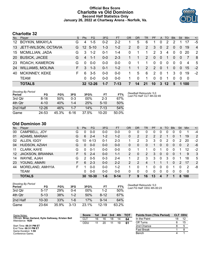# **Official Box Score Charlotte vs Old Dominion Second Half Statistics Only January 26, 2022 at Chartway Arena - Norfolk, Va.**



# **Charlotte 32**

| No.             | Plaver                  | S. | <b>Pts</b> | FG.      | 3FG     | <b>FT</b> | OR             | <b>DR</b>   | TR | <b>PF</b>     | $\mathsf{A}$ | <b>TO</b>     | <b>BIK</b> | Stl            | Min            | $+/-$          |
|-----------------|-------------------------|----|------------|----------|---------|-----------|----------------|-------------|----|---------------|--------------|---------------|------------|----------------|----------------|----------------|
| 12 <sup>1</sup> | <b>BOYKIN, MIKAYLA</b>  | G  | 4          | $1 - 5$  | $0 - 2$ | $2 - 2$   |                | 5           | 6  |               | 0            | 2             |            |                |                | -5             |
| 13              | JETT-WILSON, OCTAVIA    | G. |            | 12 5-10  | 1-3     | $1 - 2$   | $\overline{2}$ | $\mathbf 0$ | 2  | 3             | $\mathbf{0}$ | $\mathcal{P}$ | $\Omega$   | $\overline{0}$ | 19             | $\overline{4}$ |
| 15              | <b>MCMILLIAN, JADA</b>  | G  | 3          | $1 - 2$  | $0 - 1$ | $1 - 4$   | 0              |             | 1. | 2             | 3            | 4             | $\Omega$   | $\Omega$       | 20             | 2              |
| <b>20</b>       | <b>BUSICK, JACEE</b>    | G  | 4          | $1 - 1$  | $0 - 0$ | $2 - 3$   |                | 1           | 2  | $\Omega$      | $\Omega$     | 1             | $\Omega$   | $\Omega$       | 7              | -8             |
| 23              | <b>ROACH, KAMERON</b>   | G  | $\Omega$   | $0 - 0$  | $0 - 0$ | $0-0$     | 0              |             | 1. | $\mathbf{0}$  | $\Omega$     | $\Omega$      | $\Omega$   | $\Omega$       | $\overline{4}$ | -5             |
| 24              | <b>WILLIAMS, MOLINA</b> | F. | 3          | $1 - 3$  | $0 - 1$ | $1 - 2$   |                | 1           | 2  | $\mathcal{P}$ | $\Omega$     | -1            | $\Omega$   | $\Omega$       | 15             | $-2$           |
| 40              | <b>MCKINNEY, KEKE</b>   | F. | 6          | $3-5$    | $0 - 0$ | $0-0$     | 1.             | 5           | 6  | 2             | $\Omega$     | 1             | 3          | $\Omega$       | 19             | $-2$           |
|                 | <b>TEAM</b>             |    | 0          | $0 - 0$  | $0 - 0$ | $0 - 0$   | 1.             | 0           |    | 0             | $\Omega$     |               | $\Omega$   | $\Omega$       | - 0            |                |
|                 | <b>TOTALS</b>           |    |            | 32 12-26 |         | $7 - 13$  |                | 14          | 21 | 10            | 3            | $12 \,$       | 5          |                | 100            |                |

| <b>Shooting By Period</b><br>Period | FG        | FG%   | 3FG     | 3FG%   | FТ       | FT%   | Deadball Rebounds: 5,0<br>Last FG Half: CLT 4th-02:49 |
|-------------------------------------|-----------|-------|---------|--------|----------|-------|-------------------------------------------------------|
| 3rd Qtr                             | $8 - 16$  | 50%   | $0 - 3$ | $00\%$ | $2 - 3$  | 67%   |                                                       |
| 4th Qtr                             | $4 - 10$  | 40%   | $1 - 4$ | 25%    | $5 - 10$ | 50%   |                                                       |
| 2nd Half                            | $12 - 26$ | 46%   | $1 - 7$ | 14%    | 7-13     | 54%   |                                                       |
| Game                                | 24-53     | 45.3% | 6-16    | 37.5%  | $10-20$  | 50.0% |                                                       |

# **Old Dominion 30**

| No. | Player           | S | <b>Pts</b> | <b>FG</b> | 3FG     | <b>FT</b> | <b>OR</b>      | DR            | TR             | <b>PF</b>     | A | TO | <b>B</b> lk  | Stl      | Min | $+/-$ |
|-----|------------------|---|------------|-----------|---------|-----------|----------------|---------------|----------------|---------------|---|----|--------------|----------|-----|-------|
| 00  | CAMPBELL, JOY    | G | 0          | 0-0       | $0-0$   | $0-0$     | 0              | 0             | 0              | 0             | 0 | 0  | 0            | $\Omega$ |     | -4    |
| 01  | ADAMS, MARIAH    | G | 6          | $2 - 4$   | $1 - 2$ | $1 - 2$   | 0              | 2             | 2              | $\mathcal{P}$ | 2 |    | $\mathbf{0}$ |          | 19  | 2     |
| 02  | ALLEN, IGGY      | G | 10         | $4 - 13$  | $0 - 1$ | $2 - 3$   | 1.             | 2             | 3              | 3             | 0 | 2  | 0            | 2        | 20  | $-2$  |
| 04  | HUDSON, AZIAH    | G | 0          | $0 - 0$   | $0 - 0$ | $0 - 0$   | 0              | 0             | 0              |               | 0 | 0  | $\mathbf{0}$ | 0        | 2   | -6    |
| 11  | CLARK, KAYE      | G | 0          | $0 - 1$   | $0 - 0$ | $0 - 0$   | 0              |               |                |               | 1 | 0  | 0            |          | 12  | $-2$  |
| 12  | JACKSON, BRIANNA | F | 5          | $2 - 4$   | $0 - 0$ | $1 - 1$   | $\overline{2}$ | 0             | 2              | 3             | 0 | 0  | 0            |          | 9   | 3     |
| 14  | WAYNE, AJAH      | G | 2          | $0 - 5$   | $0 - 3$ | $2 - 4$   | 1.             | 2             | 3              | 3             | 0 | 3  | 0            |          | 18  | 5     |
| 23  | YOUNG, AMARI     | F | 6          | $2 - 3$   | $0 - 0$ | $2 - 2$   | $\overline{2}$ | $\mathcal{P}$ | $\overline{4}$ |               |   |    | $\Omega$     | 2        | 17  | 2     |
| 44  | MORELAND, AMHYIA | F |            | $0 - 0$   | $0 - 0$ | $1 - 2$   | 1              | 0             |                | 0             | 0 | 0  |              | 0        | 2   | -8    |
|     | <b>TEAM</b>      |   | 0          | $0 - 0$   | $0 - 0$ | $0 - 0$   | 0              | 0             | $\Omega$       | $\Omega$      | 0 | 0  | $\Omega$     | 0        | 0   |       |
|     | <b>TOTALS</b>    |   | 30         | $10 - 30$ | $1 - 6$ | $9 - 14$  |                | 9             | 16             | 13            | 4 |    |              | 8        | 100 |       |

| <b>Shooting By Period</b><br>Period | FG        | FG%   | 3FG      | 3FG%   | FТ        | FT%   |
|-------------------------------------|-----------|-------|----------|--------|-----------|-------|
| 3rd Otr                             | 5-17      | 29%   | 0-4      | $00\%$ | $1-2$     | 50%   |
| 4th Qtr                             | $5 - 13$  | 38%   | $1 - 2$  | 50%    | $8 - 12$  | 67%   |
| 2nd Half                            | $10 - 30$ | 33%   | $1 - 6$  | 17%    | $9 - 14$  | 64%   |
| Game                                | 23-64     | 35.9% | $3 - 13$ | 23.1%  | $12 - 19$ | 63.2% |

*Deadball Rebounds:* 5,0 *Last FG Half:* ODU 4th-00:23

| Game Notes:                                                                | <b>Score</b> |    | 1st 2nd | 3rd | 4th | <b>TOT</b> | <b>Points from (This Period)</b> |    | <b>CLT ODU</b> |
|----------------------------------------------------------------------------|--------------|----|---------|-----|-----|------------|----------------------------------|----|----------------|
| Officials: Brian Garland, Kylie Galloway, Kristen Bell<br>Attendance: 1620 | CL 1         | 16 | 16      | 18  | 14  | 64         | In the Paint                     | 18 |                |
|                                                                            | ODU          |    | 20      |     | 19  | 61         | Off Turns                        |    | 15             |
| Start Time: 06:31 PM ET                                                    |              |    |         |     |     |            | 2nd Chance                       |    |                |
| End Time: 08:31 PM ET<br>Game Duration: 1:59                               |              |    |         |     |     |            | Fast Break                       |    |                |
| Conference Game:                                                           |              |    |         |     |     |            | Bench                            |    |                |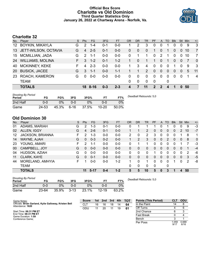# **Official Box Score Charlotte vs Old Dominion Third Quarter Statistics Only January 26, 2022 at Chartway Arena - Norfolk, Va.**



# **Charlotte 32**

| No. | Plaver                  | S. | <b>Pts</b> | FG      | 3FG     | <b>FT</b> | <b>OR</b> | DR | TR                    | PF          | A              | TO       | <b>Blk</b> | Stl      | Min | $+/-$          |
|-----|-------------------------|----|------------|---------|---------|-----------|-----------|----|-----------------------|-------------|----------------|----------|------------|----------|-----|----------------|
| 12  | <b>BOYKIN, MIKAYLA</b>  | G  | 2          | $1 - 4$ | $0 - 1$ | 0-0       | 1         | 2  | 3                     | 0           | 0              |          | 0          |          | 9   | 3              |
| 13  | JETT-WILSON, OCTAVIA    | G  | 4          | $2 - 5$ | $0 - 1$ | $0 - 0$   | 0         | 0  | $\overline{0}$        | 1           | $\Omega$       |          | 0          | $\Omega$ | 10  | $\overline{7}$ |
| 15  | <b>MCMILLIAN, JADA</b>  | G  | 2          | 1-1     | $0 - 0$ | $0 - 0$   | 0         | 1  | 1.                    | $\Omega$    | 2              | 1        | 0          | $\Omega$ | 10  | 7              |
| 24  | <b>WILLIAMS, MOLINA</b> | F. | 3          | $1 - 2$ | $0 - 1$ | $1 - 2$   |           | 0  | 1.                    | 1           | $\overline{0}$ | 1        | $\Omega$   | $\Omega$ |     | $\Omega$       |
| 40  | <b>MCKINNEY, KEKE</b>   | F. | 4          | $2 - 3$ | $0-0$   | $0 - 0$   | 1         | 3  | 4                     | $\mathbf 0$ | $\mathbf 0$    | $\Omega$ | 1          | $\Omega$ | 9   | -3             |
| 20  | <b>BUSICK, JACEE</b>    | G  | 3          | -1-1    | $0 - 0$ | $1 - 1$   |           | 1  | $\mathbf{2}^{\prime}$ | $\Omega$    | $\Omega$       | 0        | $\Omega$   | $\Omega$ | 5   | 11             |
| 23  | ROACH, KAMERON          | G  | $\Omega$   | $0 - 0$ | $0 - 0$ | $0 - 0$   | 0         | 0  | $\Omega$              | $\Omega$    | $\mathbf 0$    | $\Omega$ | $\Omega$   | $\Omega$ | 1   | $\overline{4}$ |
|     | <b>TEAM</b>             |    |            |         |         |           | 0         | 0  | $\Omega$              | 0           |                | 0        |            |          |     |                |
|     | <b>TOTALS</b>           |    |            | 18 8-16 | $0 - 3$ | $2 - 3$   | 4         |    | 11                    | 2           | 2              | 4        |            | 0        | 50  |                |

| <b>Shooting By Period</b><br>Period | FG    | FG%   | 3FG  | 3FG%  | FТ        | FT%   | Deadball Rebounds: 5,0 |
|-------------------------------------|-------|-------|------|-------|-----------|-------|------------------------|
| 2nd Half                            | 0-0   | ገ%    | 0-0  | $0\%$ | 0-0       | 0%    |                        |
| Game                                | 24-53 | 45.3% | 6-16 | 37.5% | $10 - 20$ | 50.0% |                        |

# **Old Dominion 30**

| No. | Player                  | S  | Pts      | <b>FG</b> | 3FG     | <b>FT</b> | 0R | <b>DR</b> | <b>TR</b>    | PF | A              | TO       | <b>Blk</b> | Stl          | Min | $+/-$        |
|-----|-------------------------|----|----------|-----------|---------|-----------|----|-----------|--------------|----|----------------|----------|------------|--------------|-----|--------------|
| 01  | ADAMS, MARIAH           | G  | 2        | $1 - 3$   | $0 - 1$ | $0-0$     | 0  |           |              |    |                |          | 0          | 0            | 9   | $-3$         |
| 02  | ALLEN, IGGY             | G  | 4        | $2 - 6$   | $0 - 1$ | $0 - 0$   |    |           | 2            | 0  | $\overline{0}$ | $\Omega$ | 0          | 2            | 10  | $-7$         |
| 12  | <b>JACKSON, BRIANNA</b> | F. | 2        | 1-3       | $0 - 0$ | $0-0$     | 2  | 0         | 2            | 3  | 0              | 0        | 0          |              | 8   | 1            |
| 14  | WAYNE, AJAH             | G  | 0        | $0 - 3$   | $0 - 2$ | $0 - 0$   |    | 2         | 3            | 0  | $\mathbf{0}$   | 2        | $\Omega$   | $\Omega$     | 8   | $\mathbf{0}$ |
| 23  | YOUNG, AMARI            | F. | 2        | $1 - 1$   | $0 - 0$ | $0-0$     | 0  |           | 1            | 0  | 0              | 0        | 0          |              |     | -3           |
| 00  | CAMPBELL, JOY           | G  | $\Omega$ | $0 - 0$   | $0 - 0$ | $0 - 0$   | 0  | 0         | 0            | 0  | 0              | $\Omega$ | 0          | $\mathbf{0}$ |     | $-4$         |
| 04  | HUDSON, AZIAH           | G  | $\Omega$ | $0 - 0$   | $0 - 0$ | $0-0$     | 0  | 0         | 0            |    | 0              |          | 0          | 0            | 2   | -6           |
| 11  | CLARK, KAYE             | G  | $\Omega$ | $0 - 1$   | $0 - 0$ | $0 - 0$   | 0  | 0         | 0            | 0  | $\overline{0}$ | $\Omega$ | 0          | $\mathbf{0}$ | 3   | $-5$         |
| 44  | MORELAND, AMHYIA        | F. |          | $0 - 0$   | $0 - 0$ | $1-2$     |    | 0         | 1            | 0  | 0              | 0        |            | 0            | 2   | -8           |
|     | TEAM                    |    |          |           |         |           | 0  | 0         | $\mathbf{0}$ | 0  |                | 0        |            |              |     |              |
|     | <b>TOTALS</b>           |    | 11       | $5 - 17$  | $0 - 4$ | $1-2$     | 5  | 5         | 10           | 5  | 0              | 3        | 1          | 4            | 50  |              |

| <b>Shooting By Period</b><br>Period | FG        | FG%   | 3FG      | 3FG%  |           | FT%   |
|-------------------------------------|-----------|-------|----------|-------|-----------|-------|
| 2nd Half                            | 0-0       | $0\%$ | ი-ი      | $0\%$ | ი-ი       | 0%    |
| Game                                | $23 - 64$ | 35.9% | $3 - 13$ | 23.1% | $12 - 19$ | 63.2% |

*Deadball Rebounds:* 5,0

| Game Notes:                                                                | <b>Score</b> | 1st l | 2nd | 3rd | $-4th$ | <b>TOT</b> | <b>Points (This Period)</b> | СĽ           | ODU           |
|----------------------------------------------------------------------------|--------------|-------|-----|-----|--------|------------|-----------------------------|--------------|---------------|
| Officials: Brian Garland, Kylie Galloway, Kristen Bell<br>Attendance: 1620 | CLT          | 16    | 16  | 18  | 14     | 64         | In the Paint                |              | 8             |
|                                                                            | ODU          |       | 20  |     | 19     | 61         | Off Turns                   |              | 6             |
| Start Time: 06:31 PM ET                                                    |              |       |     |     |        |            | 2nd Chance                  |              |               |
| End Time: 08:31 PM ET<br>Game Duration: 1:59                               |              |       |     |     |        |            | <b>Fast Break</b>           |              |               |
| Conference Game;                                                           |              |       |     |     |        |            | Bench                       |              |               |
|                                                                            |              |       |     |     |        |            | Per Poss                    | .059<br>9/17 | 0.688<br>6/16 |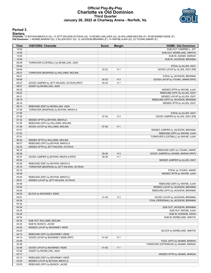# **Official Play-By-Play Charlotte vs Old Dominion Third Quarter January 26, 2022 at Chartway Arena - Norfolk, Va.**



### **Period 3**

<mark>Starters:</mark><br>Charlotte: 12 BOYKIN,MIKAYLA (G); 13 JETT-WILSON,OCTAVIA (G); 15 MCMILLIAN,JADA (G); 24 WILLIAMS,MOLINA (F); 40 MCKINNEY,KEKE (F);<br>**Old Dominion**: 1 ADAMS,MARIAH (G); 2 ALLEN,IGGY (G); 12 JACKSON,BRIANNA (F); 1

| <b>Time</b>    | <b>VISITORS: Charlotte</b>                 | <b>Score</b> | <b>Margin</b>  | <b>HOME: Old Dominion</b>             |
|----------------|--------------------------------------------|--------------|----------------|---------------------------------------|
| 10:00          |                                            |              |                | SUB OUT: CAMPBELL, JOY                |
| 10:00          |                                            |              |                | SUB OUT: MORELAND, AMHYIA             |
| 10:00          |                                            |              |                | SUB IN: ADAMS, MARIAH                 |
| 10:00          |                                            |              |                | SUB IN: JACKSON, BRIANNA              |
| 09:49          | TURNOVER (LOSTBALL) by MCMILLIAN, JADA     |              |                |                                       |
| 09:49          |                                            |              |                | STEAL by ALLEN, IGGY                  |
| 09:45          |                                            | 33-32        | H <sub>1</sub> | GOOD! LAYUP by ALLEN, IGGY [FB]       |
| 09:21          | TURNOVER (BADPASS) by WILLIAMS, MOLINA     |              |                |                                       |
| 09:21          |                                            |              |                | STEAL by JACKSON, BRIANNA             |
| 09:08          |                                            | 35-32        | $H_3$          | GOOD! LAYUP by YOUNG, AMARI [PNT]     |
| 08:57          | GOOD! JUMPER by JETT-WILSON, OCTAVIA [PNT] | 35-34        | H <sub>1</sub> |                                       |
| 08:57          | ASSIST by MCMILLIAN, JADA                  |              |                |                                       |
| 08:25          |                                            |              |                | MISSED 3PTR by WAYNE, AJAH            |
| 08:22          |                                            |              |                | REBOUND (OFF) by ALLEN, IGGY          |
| 08:21          |                                            |              |                | MISSED LAYUP by ALLEN, IGGY           |
| 08:19          |                                            |              |                | REBOUND (OFF) by JACKSON, BRIANNA     |
| 08:16          |                                            |              |                | MISSED 3PTR by ALLEN, IGGY            |
| 08:13          | REBOUND (DEF) by MCMILLIAN, JADA           |              |                |                                       |
| 07:59          | TURNOVER (BADPASS) by BOYKIN, MIKAYLA      |              |                |                                       |
| 07:59          |                                            |              |                | STEAL by ALLEN, IGGY                  |
| 07:55          |                                            | 37-34        | $H_3$          | GOOD! JUMPER by ALLEN, IGGY [FB]      |
| 07:32          | MISSED 3PTR by BOYKIN, MIKAYLA             |              |                |                                       |
| 07:29<br>07:28 | REBOUND (OFF) by WILLIAMS, MOLINA          |              |                |                                       |
|                | GOOD! LAYUP by WILLIAMS, MOLINA            | 37-36        | H <sub>1</sub> | MISSED JUMPER by JACKSON, BRIANNA     |
| 07:07<br>07:03 |                                            |              |                | REBOUND (OFF) by WAYNE, AJAH          |
| 07:01          |                                            |              |                | TURNOVER (LOSTBALL) by WAYNE, AJAH    |
| 06:40          | MISSED 3PTR by WILLIAMS, MOLINA            |              |                |                                       |
| 06:37          | REBOUND (OFF) by BOYKIN, MIKAYLA           |              |                |                                       |
| 06:35          | MISSED 3PTR by JETT-WILSON, OCTAVIA        |              |                |                                       |
| 06:32          |                                            |              |                | REBOUND (DEF) by YOUNG, AMARI         |
| 06:26          |                                            | 39-36        | $H_3$          | GOOD! JUMPER by ADAMS, MARIAH [PNT]   |
| 05:57          | GOOD! JUMPER by BOYKIN, MIKAYLA [PNT]      | 39-38        | H <sub>1</sub> |                                       |
| 05:30          |                                            |              |                | MISSED JUMPER by ALLEN, IGGY          |
| 05:26          | REBOUND (DEF) by BOYKIN, MIKAYLA           |              |                |                                       |
| 05:16          | TURNOVER (BADPASS) by JETT-WILSON, OCTAVIA |              |                |                                       |
| 05:16          |                                            |              |                | STEAL by YOUNG, AMARI                 |
| 05:08          |                                            |              |                | MISSED 3PTR by WAYNE, AJAH            |
| 05:05          | REBOUND (DEF) by BOYKIN, MIKAYLA           |              |                |                                       |
| 05:01          | MISSED LAYUP by JETT-WILSON, OCTAVIA       |              |                |                                       |
| 04:58          |                                            |              |                | REBOUND (DEF) by WAYNE, AJAH          |
| 04:54          |                                            |              |                | MISSED LAYUP by JACKSON, BRIANNA      |
| 04:54          |                                            |              |                | REBOUND (OFF) by JACKSON, BRIANNA     |
| 04:54          | BLOCK by MCKINNEY, KEKE                    |              |                |                                       |
| 04:51          |                                            | 41-38        | H <sub>3</sub> | GOOD! LAYUP by JACKSON, BRIANNA       |
| 04:34          |                                            |              |                | FOUL (PERSONAL) by JACKSON, BRIANNA   |
| 04:34          |                                            |              |                |                                       |
| 04:34          |                                            |              |                | SUB OUT: JACKSON, BRIANNA             |
| 04:34          |                                            |              |                | SUB OUT: WAYNE, AJAH                  |
| 04:34          |                                            |              |                | SUB IN: HUDSON, AZIAH                 |
| 04:34          |                                            |              |                | SUB IN: MORELAND, AMHYIA              |
| 04:34          | SUB OUT: WILLIAMS, MOLINA                  |              |                |                                       |
| 04:34          | SUB IN: BUSICK, JACEE                      |              |                |                                       |
| 04:20          | MISSED LAYUP by MCKINNEY, KEKE             |              |                |                                       |
| 04:20          |                                            |              |                | BLOCK by MORELAND, AMHYIA             |
| 04:15          | REBOUND (OFF) by MCKINNEY, KEKE            |              |                |                                       |
| 04:14          | GOOD! LAYUP by MCKINNEY, KEKE [PNT]        | 41-40        | H <sub>1</sub> |                                       |
| 03:59          |                                            |              |                | FOUL (OFF) by ADAMS, MARIAH           |
| 03:59          |                                            |              |                | TURNOVER (OFFENSIVE) by ADAMS, MARIAH |
| 03:46          | GOOD! LAYUP by MCKINNEY, KEKE              | 41-42        | V <sub>1</sub> |                                       |
| 03:46          | ASSIST by MCMILLIAN, JADA                  |              |                |                                       |
| 03:17          |                                            |              |                | MISSED 3PTR by ADAMS, MARIAH          |
| 03:13          | REBOUND (DEF) by MCKINNEY, KEKE            |              |                |                                       |
| 03:05          | MISSED LAYUP by BOYKIN, MIKAYLA            |              |                |                                       |
| 03:03          | REBOUND (OFF) by BUSICK, JACEE             |              |                |                                       |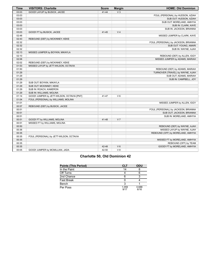| <b>Time</b> | <b>VISITORS: Charlotte</b>                 | <b>Score</b> | <b>Margin</b>  | <b>HOME: Old Dominion</b>           |
|-------------|--------------------------------------------|--------------|----------------|-------------------------------------|
| 03:03       | GOOD! LAYUP by BUSICK, JACEE               | $41 - 44$    | V <sub>3</sub> |                                     |
| 03:03       |                                            |              |                | FOUL (PERSONAL) by HUDSON, AZIAH    |
| 03:03       |                                            |              |                | SUB OUT: HUDSON, AZIAH              |
| 03:03       |                                            |              |                | SUB OUT: MORELAND, AMHYIA           |
| 03:03       |                                            |              |                | SUB IN: CLARK, KAYE                 |
| 03:03       |                                            |              |                | SUB IN: JACKSON, BRIANNA            |
| 03:03       | GOOD! FT by BUSICK, JACEE                  | $41 - 45$    | V <sub>4</sub> |                                     |
| 02:48       |                                            |              |                | MISSED JUMPER by CLARK, KAYE        |
| 02:43       | REBOUND (DEF) by MCKINNEY, KEKE            |              |                |                                     |
| 02:32       |                                            |              |                | FOUL (PERSONAL) by JACKSON, BRIANNA |
| 02:32       |                                            |              |                | SUB OUT: YOUNG, AMARI               |
| 02:32       |                                            |              |                | SUB IN: WAYNE, AJAH                 |
| 02:13       | MISSED JUMPER by BOYKIN, MIKAYLA           |              |                |                                     |
| 02:10       |                                            |              |                | REBOUND (DEF) by ALLEN, IGGY        |
| 02:06       |                                            |              |                | MISSED JUMPER by ADAMS, MARIAH      |
| 02:02       | REBOUND (DEF) by MCKINNEY, KEKE            |              |                |                                     |
| 01:53       | MISSED LAYUP by JETT-WILSON, OCTAVIA       |              |                |                                     |
| 01:50       |                                            |              |                | REBOUND (DEF) by ADAMS, MARIAH      |
| 01:29       |                                            |              |                | TURNOVER (TRAVEL) by WAYNE, AJAH    |
| 01:29       |                                            |              |                | SUB OUT: ADAMS, MARIAH              |
| 01:29       |                                            |              |                | SUB IN: CAMPBELL, JOY               |
| 01:29       | SUB OUT: BOYKIN, MIKAYLA                   |              |                |                                     |
| 01:29       | SUB OUT: MCKINNEY, KEKE                    |              |                |                                     |
| 01:29       | SUB IN: ROACH, KAMERON                     |              |                |                                     |
| 01:29       | SUB IN: WILLIAMS, MOLINA                   |              |                |                                     |
| 01:14       | GOOD! JUMPER by JETT-WILSON, OCTAVIA [PNT] | 41-47        | $V_6$          |                                     |
| 01:04       | FOUL (PERSONAL) by WILLIAMS, MOLINA        |              |                |                                     |
| 01:01       |                                            |              |                | MISSED JUMPER by ALLEN, IGGY        |
| 00:57       | REBOUND (DEF) by BUSICK, JACEE             |              |                |                                     |
| 00:51       |                                            |              |                | FOUL (PERSONAL) by JACKSON, BRIANNA |
| 00:51       |                                            |              |                | SUB OUT: JACKSON, BRIANNA           |
| 00:51       |                                            |              |                | SUB IN: MORELAND, AMHYIA            |
| 00:51       | GOOD! FT by WILLIAMS, MOLINA               | $41 - 48$    | V <sub>7</sub> |                                     |
| 00:51       | MISSED FT by WILLIAMS, MOLINA              |              |                |                                     |
| 00:50       |                                            |              |                | REBOUND (DEF) by WAYNE, AJAH        |
| 00:36       |                                            |              |                | MISSED LAYUP by WAYNE, AJAH         |
| 00:35       |                                            |              |                | REBOUND (OFF) by MORELAND, AMHYIA   |
| 00:35       | FOUL (PERSONAL) by JETT-WILSON, OCTAVIA    |              |                |                                     |
| 00:35       |                                            |              |                | MISSED FT by MORELAND, AMHYIA       |
| 00:35       |                                            |              |                | REBOUND (OFF) by TEAM               |
| 00:35       |                                            | 42-48        | $V_6$          | GOOD! FT by MORELAND, AMHYIA        |
| 00:05       | GOOD! JUMPER by MCMILLIAN, JADA            | 42-50        | V8             |                                     |

# **Charlotte 50, Old Dominion 42**

| <b>Points (This Period)</b> | <b>CLT</b>    | <b>ODU</b>    |
|-----------------------------|---------------|---------------|
| In the Paint                | 14            |               |
| Off Turns                   |               |               |
| 2nd Chance                  |               |               |
| <b>Fast Break</b>           |               |               |
| Bench                       |               |               |
| Per Poss                    | 1.059<br>9/17 | 0.688<br>6/16 |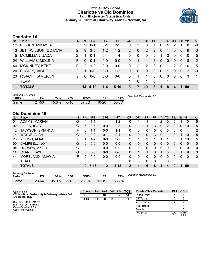# **Official Box Score Charlotte vs Old Dominion Fourth Quarter Statistics Only January 26, 2022 at Chartway Arena - Norfolk, Va.**



# **Charlotte 14**

| No.       | Player                  | S  | <b>Pts</b>    | FG.      | 3FG     | <b>FT</b> | OR             | <b>DR</b> | TR             | <b>PF</b>      | $\mathsf{A}$   | TO       | <b>Blk</b>    | Stl            | Min | $+/-$        |
|-----------|-------------------------|----|---------------|----------|---------|-----------|----------------|-----------|----------------|----------------|----------------|----------|---------------|----------------|-----|--------------|
| 12        | <b>BOYKIN, MIKAYLA</b>  | G  | $\mathcal{P}$ | $0 - 1$  | $0 - 1$ | $2 - 2$   | 0              | 3         | 3              |                | 0              |          | າ             |                | 8   | -8           |
| 13        | JETT-WILSON, OCTAVIA    | G  | 8             | $3 - 5$  | $1 - 2$ | $1 - 2$   | $\overline{2}$ | 0         | $\overline{2}$ | $\overline{2}$ | $\mathbf{0}$   |          | 0             | $\mathbf{0}$   | 9   | $-3$         |
| 15        | <b>MCMILLIAN, JADA</b>  | G  |               | $0 - 1$  | $0 - 1$ | 1-4       | $\Omega$       | 0         | $\Omega$       | $\mathcal{P}$  | 1              | 3        | $\Omega$      | $\Omega$       | 10  | -5           |
| 24        | <b>WILLIAMS, MOLINA</b> | F. | $\Omega$      | $0 - 1$  | $0 - 0$ | $0 - 0$   | $\Omega$       |           |                | 1              | $\mathbf{0}$   | $\Omega$ | $\Omega$      | $\overline{0}$ | 8   | $-2$         |
| 40        | <b>MCKINNEY, KEKE</b>   | F. | $\mathcal{P}$ | $1 - 2$  | $0-0$   | $0-0$     | 0              | 2         | 2              | $\mathcal{P}$  | $\Omega$       |          | $\mathcal{P}$ | $\Omega$       | 10  | -5           |
| <b>20</b> | <b>BUSICK, JACEE</b>    | G  |               | $0 - 0$  | $0 - 0$ | $1 - 2$   | $\Omega$       | $\Omega$  | $\mathbf{0}$   | $\mathbf{0}$   | $\overline{0}$ |          | 0             | $\overline{0}$ | 2   | $-3$         |
| 23        | ROACH, KAMERON          | G. | $\Omega$      | $0 - 0$  | $0-0$   | $0-0$     | 0              |           |                | $\Omega$       | $\mathbf{0}$   | $\Omega$ | 0             | $\Omega$       | -3  | $\mathbf{1}$ |
|           | <b>TEAM</b>             |    |               |          |         |           | 1              | $\Omega$  |                | - 0            |                |          |               |                |     |              |
|           | <b>TOTALS</b>           |    | 14            | $4 - 10$ | 1-4     | $5-10$    | 3              | 7         | 10             | 8              | 1              | 8        |               |                | 50  |              |

| <b>Shooting By Period</b><br>Period | FG        | FG%        | 3FG | 3FG%     | ET        | FT%   | Deadball Rebounds: 5,0 |
|-------------------------------------|-----------|------------|-----|----------|-----------|-------|------------------------|
| Game                                | $24 - 53$ | 45.3% 6-16 |     | $37.5\%$ | $10 - 20$ | 50.0% |                        |

# **Old Dominion 19**

| No. | Player             | S  | <b>Pts</b> | FG       | 3FG     | <b>FT</b> | OR | <b>DR</b>    | TR | PF       | A            | TO       | <b>Blk</b> | Stl | Min          | $+/-$          |
|-----|--------------------|----|------------|----------|---------|-----------|----|--------------|----|----------|--------------|----------|------------|-----|--------------|----------------|
| 01  | ADAMS, MARIAH      | G  | 4          | 1-1      | $1 - 1$ | $1 - 2$   | 0  |              |    |          | 2            | 0        |            |     | 10           | 5              |
| 02  | ALLEN, IGGY        | G  | 6          | $2 - 7$  | $0 - 0$ | $2 - 3$   | 0  |              |    | 3        | $\mathbf{0}$ | 2        | 0          | 0   | 10           | 5              |
| 12  | JACKSON, BRIANNA   | F. | 3          | 1-1      | $0 - 0$ | $1 - 1$   | 0  | 0            | 0  | 0        | 0            | 0        | 0          | 0   | 1            | $\overline{2}$ |
| 14  | WAYNE, AJAH        | G  | 2          | $0 - 2$  | $0 - 1$ | $2 - 4$   | 0  | 0            | 0  | 3        | $\mathbf{0}$ |          | 0          |     | 10           | 5              |
| 23  | YOUNG, AMARI       | F  | 4          | $1 - 2$  | $0 - 0$ | $2 - 2$   | 2  | 1            | 3  |          |              | 1        | 0          |     | 10           | 5              |
| 00  | CAMPBELL, JOY      | G  | 0          | $0 - 0$  | $0 - 0$ | $0-0$     | 0  | 0            | 0  | 0        | 0            | $\Omega$ | 0          | 0   | $\mathbf{0}$ | $\mathbf{0}$   |
| 04  | HUDSON, AZIAH      | G  | 0          | $0 - 0$  | $0 - 0$ | $0-0$     | 0  | 0            | 0  | 0        | 0            | O        | O          | 0   | 0            | 0              |
| 11  | <b>CLARK, KAYE</b> | G  | 0          | $0 - 0$  | $0 - 0$ | $0 - 0$   | 0  |              |    | 0        |              | $\Omega$ | 0          |     | 9            | 3              |
| 44  | MORELAND, AMHYIA   | F. | 0          | $0 - 0$  | $0 - 0$ | $0 - 0$   | 0  | 0            | 0  | 0        | 0            | 0        | 0          | 0   | 0            | $\mathbf{0}$   |
|     | TEAM               |    |            |          |         |           | 0  | $\mathbf{0}$ | 0  | $\Omega$ |              | 0        |            |     |              |                |
|     | <b>TOTALS</b>      |    | 19         | $5 - 13$ | $1 - 2$ | $8 - 12$  | 2  | 4            | 6  | 8        | 4            | 4        | 0          | 4   | 50           |                |

| <b>Shooting By Period</b> |           |       |        |       |           |       |
|---------------------------|-----------|-------|--------|-------|-----------|-------|
| Period                    | FG        | FG%   | 3FG    | 3FG%  |           | FT%   |
| Game                      | $23 - 64$ | 35.9% | $3-13$ | 23.1% | $12 - 19$ | 63.2% |

*Deadball Rebounds:* 5,0

| Game Notes:                                                                | <b>Score</b>    | 1st l | 2nd | 3rd | 4th | <b>- тот</b> | <b>Points (This Period)</b> | CLT           | <b>ODU</b>    |
|----------------------------------------------------------------------------|-----------------|-------|-----|-----|-----|--------------|-----------------------------|---------------|---------------|
| Officials: Brian Garland, Kylie Galloway, Kristen Bell<br>Attendance: 1620 | CL <sub>1</sub> | 16    | 16  | 18  | 14  | 64           | In the Paint                |               |               |
|                                                                            | ODU             |       | 20  |     | 19  | 61           | Off Turns                   |               |               |
| Start Time: 06:31 PM ET                                                    |                 |       |     |     |     |              | 2nd Chance                  |               |               |
| End Time: 08:31 PM ET<br>Game Duration: 1:59                               |                 |       |     |     |     |              | <b>Fast Break</b>           |               |               |
| Conference Game:                                                           |                 |       |     |     |     |              | Bench                       |               |               |
|                                                                            |                 |       |     |     |     |              | Per Poss                    | 0.737<br>7/19 | 0.950<br>9/20 |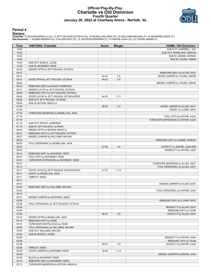# **Official Play-By-Play Charlotte vs Old Dominion Fourth Quarter January 26, 2022 at Chartway Arena - Norfolk, Va.**



#### **Period 4**

<mark>Starters:</mark><br>Charlotte: 12 BOYKIN,MIKAYLA (G); 13 JETT-WILSON,OCTAVIA (G); 15 MCMILLIAN,JADA (G); 24 WILLIAMS,MOLINA (F); 40 MCKINNEY,KEKE (F);<br>**Old Dominion**: 1 ADAMS,MARIAH (G); 2 ALLEN,IGGY (G); 12 JACKSON,BRIANNA (F); 1

| Time           | <b>VISITORS: Charlotte</b>                | <b>Score</b> | <b>Margin</b>  | <b>HOME: Old Dominion</b>           |
|----------------|-------------------------------------------|--------------|----------------|-------------------------------------|
| 10:00          |                                           |              |                | SUB OUT: CAMPBELL, JOY              |
| 10:00          |                                           |              |                | SUB OUT: MORELAND, AMHYIA           |
| 10:00          |                                           |              |                | SUB IN: ADAMS, MARIAH               |
| 10:00          |                                           |              |                | SUB IN: YOUNG, AMARI                |
| 10:00          | SUB OUT: BUSICK, JACEE                    |              |                |                                     |
| 10:00          | SUB IN: MCKINNEY, KEKE                    |              |                |                                     |
| 09:36          | MISSED 3PTR by JETT-WILSON, OCTAVIA       |              |                |                                     |
| 09:32          |                                           |              |                | REBOUND (DEF) by ALLEN, IGGY        |
| 09:14          |                                           | 44-50        | $V_6$          | GOOD! JUMPER by YOUNG, AMARI        |
| 08:57          | GOOD! 3PTR by JETT-WILSON, OCTAVIA        | 44-53        | V <sub>9</sub> |                                     |
| 08:26          |                                           |              |                | MISSED JUMPER by YOUNG, AMARI       |
| 08:23          | REBOUND (DEF) by ROACH, KAMERON           |              |                |                                     |
| 08:12          | MISSED LAYUP by JETT-WILSON, OCTAVIA      |              |                |                                     |
| 08:09          | REBOUND (OFF) by JETT-WILSON, OCTAVIA     |              |                |                                     |
| 08:09          | GOOD! LAYUP by JETT-WILSON, OCTAVIA [PNT] | 44-55        | $V$ 11         |                                     |
| 08:09          | SUB OUT: JETT-WILSON, OCTAVIA             |              |                |                                     |
| 08:09          | SUB IN: BOYKIN, MIKAYLA                   |              |                |                                     |
| 07:55          |                                           | 46-55        | V <sub>9</sub> | GOOD! JUMPER by ALLEN, IGGY         |
| 07:55          |                                           |              |                | ASSIST by CLARK, KAYE               |
| 07:43          | TURNOVER (BADPASS) by MCMILLIAN, JADA     |              |                |                                     |
| 07:19          |                                           |              |                | FOUL (OFF) by WAYNE, AJAH           |
| 07:19          |                                           |              |                | TURNOVER (OFFENSIVE) by WAYNE, AJAH |
|                | SUB OUT: ROACH, KAMERON                   |              |                |                                     |
| 07:19<br>07:19 | SUB IN: JETT-WILSON, OCTAVIA              |              |                |                                     |
|                |                                           |              |                |                                     |
| 06:50          | MISSED 3PTR by BOYKIN, MIKAYLA            |              |                |                                     |
| 06:47          | REBOUND (OFF) by JETT-WILSON, OCTAVIA     |              |                |                                     |
| 06:27          | MISSED JUMPER by WILLIAMS, MOLINA         |              |                |                                     |
| 06:24          |                                           |              |                | REBOUND (DEF) by ADAMS, MARIAH      |
| 06:20          | FOUL (PERSONAL) by MCMILLIAN, JADA        |              |                |                                     |
| 06:20          |                                           | 47-55        | V8             | GOOD! FT by WAYNE, AJAH [FB]        |
| 06:20          |                                           |              |                | MISSED FT by WAYNE, AJAH            |
| 06:19          | REBOUND (DEF) by MCKINNEY, KEKE           |              |                |                                     |
| 05:47          | FOUL (OFF) by MCKINNEY, KEKE              |              |                |                                     |
| 05:47          | TURNOVER (OFFENSIVE) by MCKINNEY, KEKE    |              |                |                                     |
| 05:27          |                                           |              |                | TURNOVER (BADPASS) by ALLEN, IGGY   |
| 05:13          |                                           |              |                | FOUL (PERSONAL) by ALLEN, IGGY      |
| 05:11          | GOOD! LAYUP by JETT-WILSON, OCTAVIA [PNT] | 47-57        | $V$ 10         |                                     |
| 05:11          | ASSIST by MCMILLIAN, JADA                 |              |                |                                     |
| 05:11          | TIMEOUT 30SEC                             |              |                |                                     |
| 05:11          |                                           |              |                |                                     |
| 04:47          |                                           |              |                | MISSED JUMPER by ALLEN, IGGY        |
| 04:44          | REBOUND (DEF) by WILLIAMS, MOLINA         |              |                |                                     |
| 04:20          |                                           |              |                | FOUL (PERSONAL) by WAYNE, AJAH      |
| 04:19          |                                           |              |                |                                     |
| 04:01          | MISSED JUMPER by MCKINNEY, KEKE           |              |                |                                     |
| 03:58          |                                           |              |                | REBOUND (DEF) by CLARK, KAYE        |
| 03:46          | FOUL (PERSONAL) by JETT-WILSON, OCTAVIA   |              |                |                                     |
| 03:46          |                                           |              |                | MISSED FT by ALLEN, IGGY            |
| 03:46          |                                           |              |                | REBOUND (OFF) by TEAM               |
| 03:46          |                                           | 48-57        | V <sub>9</sub> | GOOD! FT by ALLEN, IGGY             |
| 03:15          | MISSED 3PTR by MCMILLIAN, JADA            |              |                |                                     |
| 03:14          | REBOUND (OFF) by TEAM                     |              |                |                                     |
| 03:14          | TURNOVER (SHOTCLOCK) by TEAM              |              |                |                                     |
| 03:06          | FOUL (PERSONAL) by WILLIAMS, MOLINA       |              |                |                                     |
| 03:06          | SUB OUT: WILLIAMS, MOLINA                 |              |                |                                     |
| 03:06          | SUB IN: BUSICK, JACEE                     |              |                |                                     |
| 03:06          |                                           |              |                | MISSED FT by WAYNE, AJAH            |
| 03:06          |                                           |              |                | REBOUND (OFF) by TEAM               |
| 03:06          |                                           | 49-57        | V8             | GOOD! FT by WAYNE, AJAH             |
| 03:06          | TIMEOUT 30SEC                             |              |                |                                     |
| 02:49          | GOOD! JUMPER by MCKINNEY, KEKE            | 49-59        | $V$ 10         |                                     |
| 02:28          |                                           |              |                | MISSED JUMPER by WAYNE, AJAH        |
|                |                                           |              |                |                                     |
| 02:28<br>02:15 | BLOCK by MCKINNEY, KEKE                   |              |                |                                     |
|                | REBOUND (DEF) by MCKINNEY, KEKE           |              |                |                                     |
| 02:12          | TURNOVER (BADPASS) by BOYKIN, MIKAYLA     |              |                |                                     |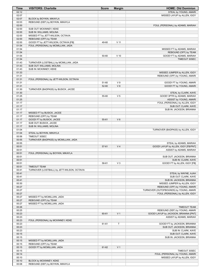| Time           | <b>VISITORS: Charlotte</b>                  | <b>Score</b> | <b>Margin</b>   | <b>HOME: Old Dominion</b>              |
|----------------|---------------------------------------------|--------------|-----------------|----------------------------------------|
| 02:12          |                                             |              |                 | STEAL by YOUNG, AMARI                  |
| 02:07          |                                             |              |                 | MISSED LAYUP by ALLEN, IGGY            |
| 02:07          | BLOCK by BOYKIN, MIKAYLA                    |              |                 |                                        |
| 02:03          | REBOUND (DEF) by BOYKIN, MIKAYLA            |              |                 |                                        |
| 02:00          |                                             |              |                 | FOUL (PERSONAL) by ADAMS, MARIAH       |
| 02:00          | SUB OUT: MCKINNEY, KEKE                     |              |                 |                                        |
| 02:00          | SUB IN: WILLIAMS, MOLINA                    |              |                 |                                        |
| 02:00          | MISSED FT by JETT-WILSON, OCTAVIA           |              |                 |                                        |
| 02:00          | REBOUND (OFF) by TEAM                       |              |                 |                                        |
| 02:00          | GOOD! FT by JETT-WILSON, OCTAVIA [FB]       | 49-60        | V <sub>11</sub> |                                        |
| 01:54          | FOUL (PERSONAL) by MCMILLIAN, JADA          |              |                 |                                        |
| 01:54          |                                             |              |                 | MISSED FT by ADAMS, MARIAH             |
| 01:54          |                                             |              |                 | REBOUND (OFF) by TEAM                  |
| 01:54          |                                             | 50-60        | $V$ 10          | GOOD! FT by ADAMS, MARIAH              |
| 01:54          |                                             |              |                 | TIMEOUT 30SEC                          |
| 01:43          | TURNOVER (LOSTBALL) by MCMILLIAN, JADA      |              |                 |                                        |
| 01:43          | SUB OUT: WILLIAMS, MOLINA                   |              |                 |                                        |
| 01:43          | SUB IN: MCKINNEY, KEKE                      |              |                 |                                        |
| 01:33          |                                             |              |                 | MISSED JUMPER by ALLEN, IGGY           |
| 01:31          |                                             |              |                 | REBOUND (OFF) by YOUNG, AMARI          |
| 01:31          | FOUL (PERSONAL) by JETT-WILSON, OCTAVIA     |              |                 |                                        |
| 01:31          |                                             | 51-60        | V <sub>9</sub>  | GOOD! FT by YOUNG, AMARI               |
| 01:31          |                                             | 52-60        | V8              | GOOD! FT by YOUNG, AMARI               |
| 01:30<br>01:30 | TURNOVER (BADPASS) by BUSICK, JACEE         |              |                 | STEAL by CLARK, KAYE                   |
| 01:25          |                                             | 55-60        | V <sub>5</sub>  | GOOD! 3PTR by ADAMS, MARIAH            |
| 01:25          |                                             |              |                 | ASSIST by YOUNG, AMARI                 |
| 01:17          |                                             |              |                 | FOUL (PERSONAL) by ALLEN, IGGY         |
| 01:17          |                                             |              |                 | SUB OUT: CLARK, KAYE                   |
| 01:17          |                                             |              |                 | SUB IN: JACKSON, BRIANNA               |
| 01:17          | MISSED FT by BUSICK, JACEE                  |              |                 |                                        |
| 01:17          | REBOUND (OFF) by TEAM                       |              |                 |                                        |
| 01:17          | GOOD! FT by BUSICK, JACEE                   | 55-61        | $V_6$           |                                        |
| 01:17          | SUB OUT: BUSICK, JACEE                      |              |                 |                                        |
| 01:17          | SUB IN: WILLIAMS, MOLINA                    |              |                 |                                        |
| 01:04          |                                             |              |                 | TURNOVER (BADPASS) by ALLEN, IGGY      |
| 01:04          | STEAL by BOYKIN, MIKAYLA                    |              |                 |                                        |
| 00:56          | TIMEOUT 30SEC                               |              |                 |                                        |
| 00:55          | TURNOVER (BADPASS) by MCMILLIAN, JADA       |              |                 |                                        |
| 00:55          |                                             |              |                 | STEAL by ADAMS, MARIAH                 |
| 00:51          |                                             | 57-61        | V <sub>4</sub>  | GOOD! LAYUP by ALLEN, IGGY [FB/PNT]    |
| 00:51          |                                             |              |                 | ASSIST by ADAMS, MARIAH                |
| 00:51          | FOUL (PERSONAL) by BOYKIN, MIKAYLA          |              |                 |                                        |
| 00:51          |                                             |              |                 | SUB OUT: JACKSON, BRIANNA              |
| 00:51          |                                             |              |                 | SUB IN: CLARK, KAYE                    |
| 00:51          |                                             | 58-61        | $V_3$           | GOOD! FT by ALLEN, IGGY [FB]           |
| 00:51          | <b>TIMEOUT TEAM</b>                         |              |                 |                                        |
| 00:41          | TURNOVER (LOSTBALL) by JETT-WILSON, OCTAVIA |              |                 |                                        |
| 00:41          |                                             |              |                 | STEAL by WAYNE, AJAH                   |
| 00:41          |                                             |              |                 | SUB OUT: CLARK, KAYE                   |
| 00:41          |                                             |              |                 | SUB IN: JACKSON, BRIANNA               |
| 00:30          |                                             |              |                 | MISSED JUMPER by ALLEN, IGGY           |
| 00:27          |                                             |              |                 | REBOUND (OFF) by YOUNG, AMARI          |
| 00:27          |                                             |              |                 | TURNOVER (OUTOFBOUNDS) by YOUNG, AMARI |
| 00:27          |                                             |              |                 | FOUL (PERSONAL) by ALLEN, IGGY         |
| 00:27          | MISSED FT by MCMILLIAN, JADA                |              |                 |                                        |
| 00:27          | REBOUND (OFF) by TEAM                       |              |                 |                                        |
| 00:27          | MISSED FT by MCMILLIAN, JADA                |              |                 |                                        |
| 00:26          |                                             |              |                 | <b>TIMEOUT TEAM</b>                    |
| 00:25          |                                             |              |                 | REBOUND (DEF) by YOUNG, AMARI          |
| 00:23          |                                             | 60-61        | V <sub>1</sub>  | GOOD! LAYUP by JACKSON, BRIANNA [PNT]  |
| 00:23          |                                             |              |                 | ASSIST by ADAMS, MARIAH                |
| 00:23          | FOUL (PERSONAL) by MCKINNEY, KEKE           |              |                 |                                        |
| 00:23          |                                             | 61-61        | T               | GOOD! FT by JACKSON, BRIANNA           |
| 00:23          |                                             |              |                 | SUB OUT: JACKSON, BRIANNA              |
| 00:23          |                                             |              |                 | SUB IN: CLARK, KAYE                    |
| 00:15          |                                             |              |                 | SUB OUT: CLARK, KAYE                   |
| 00:15          |                                             |              |                 | SUB IN: JACKSON, BRIANNA               |
| 00:15          | MISSED FT by MCMILLIAN, JADA                |              |                 |                                        |
| 00:15          | REBOUND (OFF) by TEAM                       |              |                 |                                        |
| 00:15          | GOOD! FT by MCMILLIAN, JADA                 | 61-62        | V <sub>1</sub>  |                                        |
| 00:15          |                                             |              |                 | TIMEOUT 30SEC                          |
| 00:14          |                                             |              |                 | FOUL (PERSONAL) by YOUNG, AMARI        |
| 00:10          |                                             |              |                 | MISSED LAYUP by ALLEN, IGGY            |
| 00:10          | BLOCK by MCKINNEY, KEKE                     |              |                 |                                        |
| 00:08          | REBOUND (DEF) by BOYKIN, MIKAYLA            |              |                 |                                        |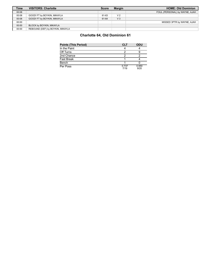| <b>Time</b> | <b>VISITORS: Charlotte</b>       | <b>Score</b> | <b>Margin</b>  | <b>HOME: Old Dominion</b>      |
|-------------|----------------------------------|--------------|----------------|--------------------------------|
| 00:08       |                                  |              |                | FOUL (PERSONAL) by WAYNE, AJAH |
| 00:08       | GOOD! FT by BOYKIN, MIKAYLA      | 61-63        | V <sub>2</sub> |                                |
| 00:08       | GOOD! FT by BOYKIN, MIKAYLA      | 61-64        | V <sub>3</sub> |                                |
| 00:00       |                                  |              |                | MISSED 3PTR by WAYNE, AJAH     |
| 00:00       | BLOCK by BOYKIN, MIKAYLA         |              |                |                                |
| 00:00       | REBOUND (DEF) by BOYKIN, MIKAYLA |              |                |                                |

# **Charlotte 64, Old Dominion 61**

| <b>Points (This Period)</b> | <b>CLT</b>    | <b>ODU</b>    |
|-----------------------------|---------------|---------------|
| In the Paint                |               |               |
| Off Turns                   |               |               |
| 2nd Chance                  |               |               |
| <b>Fast Break</b>           |               |               |
| Bench                       |               |               |
| Per Poss                    | 0.737<br>7/19 | 0.950<br>9/20 |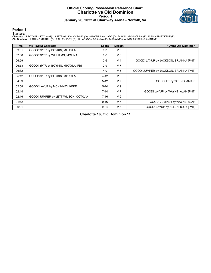### **Official Scoring/Possession Reference Chart Charlotte vs Old Dominion Period 1 January 26, 2022 at Chartway Arena - Norfolk, Va.**



### **Period 1**

<mark>Starters:</mark><br>Charlotte: 12 BOYKIN,MIKAYLA (G); 13 JETT-WILSON,OCTAVIA (G); 15 MCMILLIAN,JADA (G); 24 WILLIAMS,MOLINA (F); 40 MCKINNEY,KEKE (F);<br>**Old Dominion**: 1 ADAMS,MARIAH (G); 2 ALLEN,IGGY (G); 12 JACKSON,BRIANNA (F); 1

| <b>Time</b> | <b>VISITORS: Charlotte</b>           | <b>Score</b> | <b>Margin</b>  | <b>HOME: Old Dominion</b>              |
|-------------|--------------------------------------|--------------|----------------|----------------------------------------|
| 09:01       | GOOD! 3PTR by BOYKIN, MIKAYLA        | $0 - 3$      | $V_3$          |                                        |
| 07:30       | GOOD! 3PTR by WILLIAMS, MOLINA       | $0 - 6$      | $V_6$          |                                        |
| 06:59       |                                      | $2-6$        | V <sub>4</sub> | GOOD! LAYUP by JACKSON, BRIANNA [PNT]  |
| 06:53       | GOOD! 3PTR by BOYKIN, MIKAYLA [FB]   | $2-9$        | V <sub>7</sub> |                                        |
| 06:32       |                                      | $4 - 9$      | V <sub>5</sub> | GOOD! JUMPER by JACKSON, BRIANNA [PNT] |
| 05:12       | GOOD! 3PTR by BOYKIN, MIKAYLA        | $4 - 12$     | V8             |                                        |
| 04:09       |                                      | $5 - 12$     | V <sub>7</sub> | GOOD! FT by YOUNG, AMARI               |
| 02:58       | GOOD! LAYUP by MCKINNEY, KEKE        | $5 - 14$     | V <sub>9</sub> |                                        |
| 02:44       |                                      | $7 - 14$     | V <sub>7</sub> | GOOD! LAYUP by WAYNE, AJAH [PNT]       |
| 02:16       | GOOD! JUMPER by JETT-WILSON, OCTAVIA | $7 - 16$     | V <sub>9</sub> |                                        |
| 01:42       |                                      | $9 - 16$     | V <sub>7</sub> | GOOD! JUMPER by WAYNE, AJAH            |
| 00:01       |                                      | $11 - 16$    | V <sub>5</sub> | GOOD! LAYUP by ALLEN, IGGY [PNT]       |

**Charlotte 16, Old Dominion 11**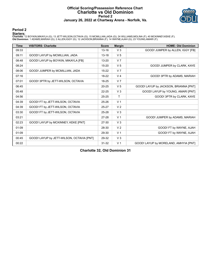### **Official Scoring/Possession Reference Chart Charlotte vs Old Dominion Period 2 January 26, 2022 at Chartway Arena - Norfolk, Va.**



# **Period 2**

<mark>Starters:</mark><br>Charlotte: 12 BOYKIN,MIKAYLA (G); 13 JETT-WILSON,OCTAVIA (G); 15 MCMILLIAN,JADA (G); 24 WILLIAMS,MOLINA (F); 40 MCKINNEY,KEKE (F);<br>**Old Dominion**: 1 ADAMS,MARIAH (G); 2 ALLEN,IGGY (G); 12 JACKSON,BRIANNA (F); 1

| <b>Time</b> | <b>VISITORS: Charlotte</b>                | <b>Score</b> | <b>Margin</b>  | <b>HOME: Old Dominion</b>             |
|-------------|-------------------------------------------|--------------|----------------|---------------------------------------|
| 09:33       |                                           | $13 - 16$    | $V_3$          | GOOD! JUMPER by ALLEN, IGGY [FB]      |
| 09:11       | GOOD! LAYUP by MCMILLIAN, JADA            | $13 - 18$    | V <sub>5</sub> |                                       |
| 08:48       | GOOD! LAYUP by BOYKIN, MIKAYLA [FB]       | 13-20        | V <sub>7</sub> |                                       |
| 08:24       |                                           | $15 - 20$    | V <sub>5</sub> | GOOD! JUMPER by CLARK, KAYE           |
| 08:06       | GOOD! JUMPER by MCMILLIAN, JADA           | $15 - 22$    | V <sub>7</sub> |                                       |
| 07:16       |                                           | 18-22        | V <sub>4</sub> | GOOD! 3PTR by ADAMS, MARIAH           |
| 07:01       | GOOD! 3PTR by JETT-WILSON, OCTAVIA        | 18-25        | V <sub>7</sub> |                                       |
| 06:45       |                                           | $20 - 25$    | V <sub>5</sub> | GOOD! LAYUP by JACKSON, BRIANNA [PNT] |
| 05:48       |                                           | $22 - 25$    | V <sub>3</sub> | GOOD! LAYUP by YOUNG, AMARI [PNT]     |
| 04:56       |                                           | $25 - 25$    | т              | GOOD! 3PTR by CLARK, KAYE             |
| 04:39       | GOOD! FT by JETT-WILSON, OCTAVIA          | $25 - 26$    | V <sub>1</sub> |                                       |
| 04:39       | GOOD! FT by JETT-WILSON, OCTAVIA          | 25-27        | V <sub>2</sub> |                                       |
| 03:30       | GOOD! FT by JETT-WILSON, OCTAVIA          | 25-28        | V <sub>3</sub> |                                       |
| 03:21       |                                           | 27-28        | V <sub>1</sub> | GOOD! JUMPER by ADAMS, MARIAH         |
| 02:23       | GOOD! LAYUP by MCKINNEY, KEKE [PNT]       | 27-30        | $V_3$          |                                       |
| 01:09       |                                           | 28-30        | V <sub>2</sub> | GOOD! FT by WAYNE, AJAH               |
| 01:09       |                                           | 29-30        | V <sub>1</sub> | GOOD! FT by WAYNE, AJAH               |
| 00:45       | GOOD! LAYUP by JETT-WILSON, OCTAVIA [PNT] | 29-32        | V <sub>3</sub> |                                       |
| 00:22       |                                           | $31 - 32$    | V <sub>1</sub> | GOOD! LAYUP by MORELAND, AMHYIA [PNT] |

**Charlotte 32, Old Dominion 31**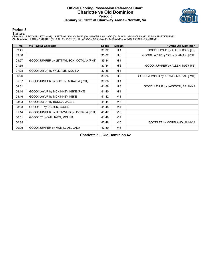### **Official Scoring/Possession Reference Chart Charlotte vs Old Dominion Period 3 January 26, 2022 at Chartway Arena - Norfolk, Va.**



# **Period 3**

<mark>Starters:</mark><br>Charlotte: 12 BOYKIN,MIKAYLA (G); 13 JETT-WILSON,OCTAVIA (G); 15 MCMILLIAN,JADA (G); 24 WILLIAMS,MOLINA (F); 40 MCKINNEY,KEKE (F);<br>**Old Dominion**: 1 ADAMS,MARIAH (G); 2 ALLEN,IGGY (G); 12 JACKSON,BRIANNA (F); 1

| <b>Time</b> | <b>VISITORS: Charlotte</b>                 | <b>Score</b> | <b>Margin</b>  | <b>HOME: Old Dominion</b>           |
|-------------|--------------------------------------------|--------------|----------------|-------------------------------------|
| 09:45       |                                            | 33-32        | H <sub>1</sub> | GOOD! LAYUP by ALLEN, IGGY [FB]     |
| 09:08       |                                            | 35-32        | $H_3$          | GOOD! LAYUP by YOUNG, AMARI [PNT]   |
| 08:57       | GOOD! JUMPER by JETT-WILSON, OCTAVIA [PNT] | 35-34        | H <sub>1</sub> |                                     |
| 07:55       |                                            | 37-34        | $H_3$          | GOOD! JUMPER by ALLEN, IGGY [FB]    |
| 07:28       | GOOD! LAYUP by WILLIAMS, MOLINA            | 37-36        | H <sub>1</sub> |                                     |
| 06:26       |                                            | 39-36        | $H_3$          | GOOD! JUMPER by ADAMS, MARIAH [PNT] |
| 05:57       | GOOD! JUMPER by BOYKIN, MIKAYLA [PNT]      | 39-38        | H <sub>1</sub> |                                     |
| 04:51       |                                            | 41-38        | $H_3$          | GOOD! LAYUP by JACKSON, BRIANNA     |
| 04:14       | GOOD! LAYUP by MCKINNEY, KEKE [PNT]        | 41-40        | H <sub>1</sub> |                                     |
| 03:46       | GOOD! LAYUP by MCKINNEY, KEKE              | $41 - 42$    | V <sub>1</sub> |                                     |
| 03:03       | GOOD! LAYUP by BUSICK, JACEE               | 41-44        | V <sub>3</sub> |                                     |
| 03:03       | GOOD! FT by BUSICK, JACEE                  | 41-45        | V <sub>4</sub> |                                     |
| 01:14       | GOOD! JUMPER by JETT-WILSON, OCTAVIA [PNT] | 41-47        | $V_6$          |                                     |
| 00:51       | GOOD! FT by WILLIAMS, MOLINA               | 41-48        | V <sub>7</sub> |                                     |
| 00:35       |                                            | 42-48        | $V_6$          | GOOD! FT by MORELAND, AMHYIA        |
| 00:05       | GOOD! JUMPER by MCMILLIAN, JADA            | 42-50        | V8             |                                     |

**Charlotte 50, Old Dominion 42**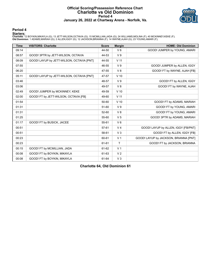### **Official Scoring/Possession Reference Chart Charlotte vs Old Dominion Period 4 January 26, 2022 at Chartway Arena - Norfolk, Va.**



### **Period 4**

<mark>Starters:</mark><br>Charlotte: 12 BOYKIN,MIKAYLA (G); 13 JETT-WILSON,OCTAVIA (G); 15 MCMILLIAN,JADA (G); 24 WILLIAMS,MOLINA (F); 40 MCKINNEY,KEKE (F);<br>**Old Dominion**: 1 ADAMS,MARIAH (G); 2 ALLEN,IGGY (G); 12 JACKSON,BRIANNA (F); 1

| <b>Time</b> | <b>VISITORS: Charlotte</b>                | <b>Score</b> | <b>Margin</b>   | <b>HOME: Old Dominion</b>             |
|-------------|-------------------------------------------|--------------|-----------------|---------------------------------------|
| 09:14       |                                           | 44-50        | $V_6$           | GOOD! JUMPER by YOUNG, AMARI          |
| 08:57       | GOOD! 3PTR by JETT-WILSON, OCTAVIA        | 44-53        | V <sub>9</sub>  |                                       |
| 08:09       | GOOD! LAYUP by JETT-WILSON, OCTAVIA [PNT] | 44-55        | V <sub>11</sub> |                                       |
| 07:55       |                                           | 46-55        | V <sub>9</sub>  | GOOD! JUMPER by ALLEN, IGGY           |
| 06:20       |                                           | 47-55        | V8              | GOOD! FT by WAYNE, AJAH [FB]          |
| 05:11       | GOOD! LAYUP by JETT-WILSON, OCTAVIA [PNT] | 47-57        | $V$ 10          |                                       |
| 03:46       |                                           | 48-57        | V <sub>9</sub>  | GOOD! FT by ALLEN, IGGY               |
| 03:06       |                                           | 49-57        | $V_8$           | GOOD! FT by WAYNE, AJAH               |
| 02:49       | GOOD! JUMPER by MCKINNEY, KEKE            | 49-59        | $V$ 10          |                                       |
| 02:00       | GOOD! FT by JETT-WILSON, OCTAVIA [FB]     | 49-60        | V <sub>11</sub> |                                       |
| 01:54       |                                           | 50-60        | $V$ 10          | GOOD! FT by ADAMS, MARIAH             |
| 01:31       |                                           | 51-60        | V <sub>9</sub>  | GOOD! FT by YOUNG, AMARI              |
| 01:31       |                                           | 52-60        | V8              | GOOD! FT by YOUNG, AMARI              |
| 01:25       |                                           | 55-60        | V <sub>5</sub>  | GOOD! 3PTR by ADAMS, MARIAH           |
| 01:17       | GOOD! FT by BUSICK, JACEE                 | 55-61        | $V_6$           |                                       |
| 00:51       |                                           | 57-61        | V <sub>4</sub>  | GOOD! LAYUP by ALLEN, IGGY [FB/PNT]   |
| 00:51       |                                           | 58-61        | V <sub>3</sub>  | GOOD! FT by ALLEN, IGGY [FB]          |
| 00:23       |                                           | 60-61        | V <sub>1</sub>  | GOOD! LAYUP by JACKSON, BRIANNA [PNT] |
| 00:23       |                                           | 61-61        | $\mathsf{T}$    | GOOD! FT by JACKSON, BRIANNA          |
| 00:15       | GOOD! FT by MCMILLIAN, JADA               | 61-62        | V <sub>1</sub>  |                                       |
| 00:08       | GOOD! FT by BOYKIN, MIKAYLA               | 61-63        | V <sub>2</sub>  |                                       |
| 00:08       | GOOD! FT by BOYKIN, MIKAYLA               | 61-64        | V <sub>3</sub>  |                                       |

**Charlotte 64, Old Dominion 61**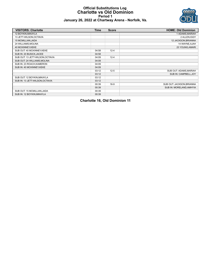### **Official Substitutions Log Charlotte vs Old Dominion Period 1 January 26, 2022 at Chartway Arena - Norfolk, Va.**



| <b>VISITORS: Charlotte</b>       | <b>Time</b> | <b>Score</b> | <b>HOME: Old Dominion</b> |
|----------------------------------|-------------|--------------|---------------------------|
| 12 BOYKIN, MIKAYLA               |             |              | 1 ADAMS, MARIAH           |
| 13 JETT-WILSON, OCTAVIA          |             |              | 2 ALLEN, IGGY             |
| 15 MCMILLIAN, JADA               |             |              | 12 JACKSON, BRIANNA       |
| 24 WILLIAMS, MOLINA              |             |              | 14 WAYNE, AJAH            |
| 40 MCKINNEY, KEKE                |             |              | 23 YOUNG, AMARI           |
| SUB OUT: 40 MCKINNEY, KEKE       | 04:58       | $12 - 4$     |                           |
| SUB IN: 20 BUSICK, JACEE         | 04:58       |              |                           |
| SUB OUT: 13 JETT-WILSON, OCTAVIA | 04:09       | $12 - 4$     |                           |
| SUB OUT: 24 WILLIAMS, MOLINA     | 04:09       |              |                           |
| SUB IN: 23 ROACH, KAMERON        | 04:09       |              |                           |
| SUB IN: 40 MCKINNEY, KEKE        | 04:09       |              |                           |
|                                  | 03:12       | $12 - 5$     | SUB OUT: ADAMS, MARIAH    |
|                                  | 03:12       |              | SUB IN: CAMPBELL, JOY     |
| SUB OUT: 12 BOYKIN, MIKAYLA      | 03:12       |              |                           |
| SUB IN: 13 JETT-WILSON, OCTAVIA  | 03:12       |              |                           |
|                                  | 00:39       | $16-9$       | SUB OUT: JACKSON, BRIANNA |
|                                  | 00:39       |              | SUB IN: MORELAND, AMHYIA  |
| SUB OUT: 15 MCMILLIAN, JADA      | 00:39       |              |                           |
| SUB IN: 12 BOYKIN, MIKAYLA       | 00:39       |              |                           |

**Charlotte 16, Old Dominion 11**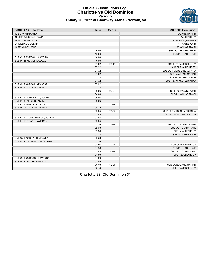### **Official Substitutions Log Charlotte vs Old Dominion Period 2 January 26, 2022 at Chartway Arena - Norfolk, Va.**



| <b>VISITORS: Charlotte</b>       | <b>Time</b> | <b>Score</b> | <b>HOME: Old Dominion</b> |
|----------------------------------|-------------|--------------|---------------------------|
| <b>12 BOYKIN.MIKAYLA</b>         |             |              | 1 ADAMS.MARIAH            |
| 13 JETT-WILSON, OCTAVIA          |             |              | 2 ALLEN, IGGY             |
| 15 MCMILLIAN, JADA               |             |              | 12 JACKSON, BRIANNA       |
| 24 WILLIAMS, MOLINA              |             |              | 14 WAYNE, AJAH            |
| 40 MCKINNEY, KEKE                |             |              | 23 YOUNG, AMARI           |
|                                  | 10:00       | $\sim$       | SUB OUT: YOUNG, AMARI     |
|                                  | 10:00       |              | SUB IN: CLARK, KAYE       |
| SUB OUT: 23 ROACH, KAMERON       | 10:00       |              |                           |
| SUB IN: 15 MCMILLIAN, JADA       | 10:00       |              |                           |
|                                  | 07:32       | $22 - 15$    | SUB OUT: CAMPBELL, JOY    |
|                                  | 07:32       |              | SUB OUT: ALLEN, IGGY      |
|                                  | 07:32       |              | SUB OUT: MORELAND, AMHYIA |
|                                  | 07:32       |              | SUB IN: ADAMS, MARIAH     |
|                                  | 07:32       |              | SUB IN: HUDSON, AZIAH     |
|                                  | 07:32       |              | SUB IN: JACKSON, BRIANNA  |
| SUB OUT: 40 MCKINNEY, KEKE       | 07:32       |              |                           |
| SUB IN: 24 WILLIAMS, MOLINA      | 07:32       |              |                           |
|                                  | 06:06       | $25 - 20$    | SUB OUT: WAYNE, AJAH      |
|                                  | 06:06       |              | SUB IN: YOUNG, AMARI      |
| SUB OUT: 24 WILLIAMS, MOLINA     | 06:06       |              |                           |
| SUB IN: 40 MCKINNEY, KEKE        | 06:06       |              |                           |
| SUB OUT: 20 BUSICK, JACEE        | 05:22       | 25-22        |                           |
| SUB IN: 24 WILLIAMS, MOLINA      | 05:22       |              |                           |
|                                  | 03:05       | 28-27        | SUB OUT: JACKSON, BRIANNA |
|                                  | 03:05       |              | SUB IN: MORELAND, AMHYIA  |
| SUB OUT: 13 JETT-WILSON, OCTAVIA | 03:05       |              |                           |
| SUB IN: 23 ROACH.KAMERON         | 03:05       |              |                           |
|                                  | 02:38       | 28-27        | SUB OUT: HUDSON, AZIAH    |
|                                  | 02:38       |              | SUB OUT: CLARK, KAYE      |
|                                  | 02:38       |              | SUB IN: ALLEN.IGGY        |
|                                  | 02:38       |              | SUB IN: WAYNE, AJAH       |
| SUB OUT: 12 BOYKIN, MIKAYLA      | 02:38       |              |                           |
| SUB IN: 13 JETT-WILSON.OCTAVIA   | 02:38       |              |                           |
|                                  | 01:56       | $30 - 27$    | SUB OUT: ALLEN, IGGY      |
|                                  | 01:56       |              | SUB IN: CLARK, KAYE       |
|                                  | 01:09       | 30-27        | SUB OUT: CLARK, KAYE      |
|                                  | 01:09       |              | SUB IN: ALLEN, IGGY       |
| SUB OUT: 23 ROACH, KAMERON       | 01:09       |              |                           |
| SUB IN: 12 BOYKIN, MIKAYLA       | 01:09       |              |                           |
|                                  | 00:10       | $32 - 31$    | SUB OUT: ADAMS, MARIAH    |
|                                  | 00:10       |              | SUB IN: CAMPBELL, JOY     |

**Charlotte 32, Old Dominion 31**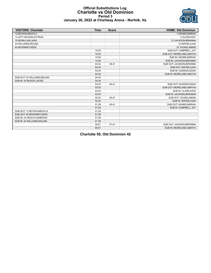

#### **Official Substitutions Log Charlotte vs Old Dominion Period 3 January 26, 2022 at Chartway Arena - Norfolk, Va.**

| <b>VISITORS: Charlotte</b>   | <b>Time</b> | <b>Score</b>             | <b>HOME: Old Dominion</b> |
|------------------------------|-------------|--------------------------|---------------------------|
| 12 BOYKIN, MIKAYLA           |             |                          | 1 ADAMS, MARIAH           |
| 13 JETT-WILSON, OCTAVIA      |             |                          | 2 ALLEN, IGGY             |
| 15 MCMILLIAN, JADA           |             |                          | 12 JACKSON, BRIANNA       |
| 24 WILLIAMS, MOLINA          |             |                          | 14 WAYNE, AJAH            |
| 40 MCKINNEY, KEKE            |             |                          | 23 YOUNG, AMARI           |
|                              | 10:00       | $\overline{\phantom{a}}$ | SUB OUT: CAMPBELL.JOY     |
|                              | 10:00       |                          | SUB OUT: MORELAND, AMHYIA |
|                              | 10:00       |                          | SUB IN: ADAMS, MARIAH     |
|                              | 10:00       |                          | SUB IN: JACKSON, BRIANNA  |
|                              | 04:34       | 38-41                    | SUB OUT: JACKSON, BRIANNA |
|                              | 04:34       |                          | SUB OUT: WAYNE, AJAH      |
|                              | 04:34       |                          | SUB IN: HUDSON, AZIAH     |
|                              | 04:34       |                          | SUB IN: MORELAND, AMHYIA  |
| SUB OUT: 24 WILLIAMS, MOLINA | 04:34       |                          |                           |
| SUB IN: 20 BUSICK, JACEE     | 04:34       |                          |                           |
|                              | 03:03       | 44-41                    | SUB OUT: HUDSON, AZIAH    |
|                              | 03:03       |                          | SUB OUT: MORELAND, AMHYIA |
|                              | 03:03       |                          | SUB IN: CLARK, KAYE       |
|                              | 03:03       |                          | SUB IN: JACKSON, BRIANNA  |
|                              | 02:32       | 45-41                    | SUB OUT: YOUNG, AMARI     |
|                              | 02:32       |                          | SUB IN: WAYNE, AJAH       |
|                              | 01:29       | 45-41                    | SUB OUT: ADAMS, MARIAH    |
|                              | 01:29       |                          | SUB IN: CAMPBELL, JOY     |
| SUB OUT: 12 BOYKIN, MIKAYLA  | 01:29       |                          |                           |
| SUB OUT: 40 MCKINNEY, KEKE   | 01:29       |                          |                           |
| SUB IN: 23 ROACH, KAMERON    | 01:29       |                          |                           |
| SUB IN: 24 WILLIAMS, MOLINA  | 01:29       |                          |                           |
|                              | 00:51       | $47 - 41$                | SUB OUT: JACKSON, BRIANNA |
|                              | 00:51       |                          | SUB IN: MORELAND, AMHYIA  |

**Charlotte 50, Old Dominion 42**